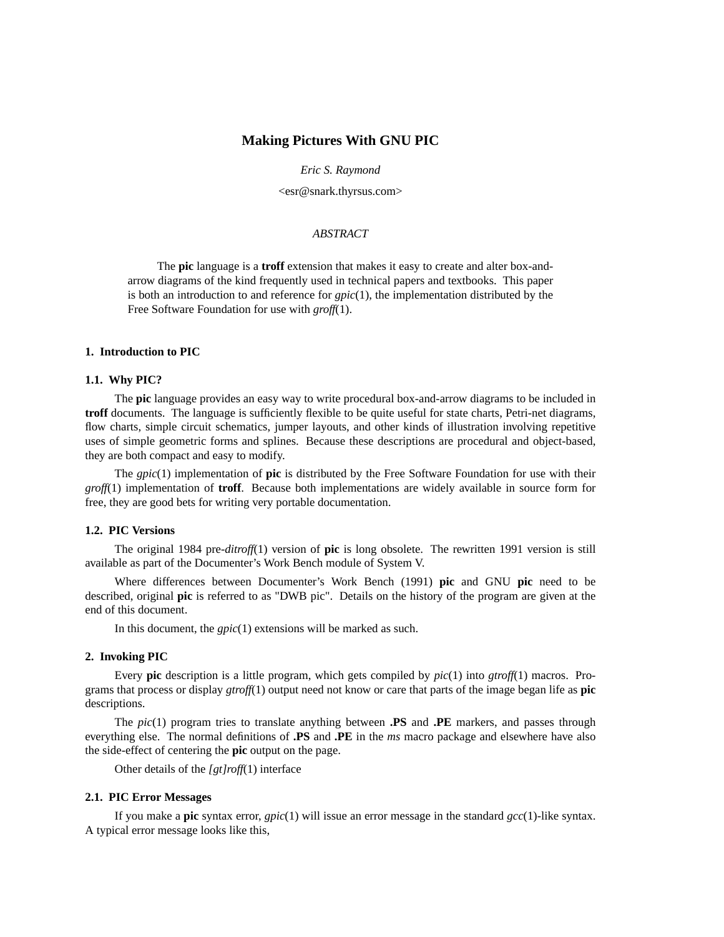## **Making Pictures With GNU PIC**

*Eric S. Raymond*

<esr@snark.thyrsus.com>

### *ABSTRACT*

The **pic** language is a **troff** extension that makes it easy to create and alter box-andarrow diagrams of the kind frequently used in technical papers and textbooks. This paper is both an introduction to and reference for *gpic*(1), the implementation distributed by the Free Software Foundation for use with *groff*(1).

## **1. Introduction to PIC**

#### **1.1. Why PIC?**

The **pic** language provides an easy way to write procedural box-and-arrow diagrams to be included in **troff** documents. The language is sufficiently flexible to be quite useful for state charts, Petri-net diagrams, flow charts, simple circuit schematics, jumper layouts, and other kinds of illustration involving repetitive uses of simple geometric forms and splines. Because these descriptions are procedural and object-based, they are both compact and easy to modify.

The *gpic*(1) implementation of **pic** is distributed by the Free Software Foundation for use with their *groff*(1) implementation of **troff**. Because both implementations are widely available in source form for free, they are good bets for writing very portable documentation.

### **1.2. PIC Versions**

The original 1984 pre-*ditroff*(1) version of **pic** is long obsolete. The rewritten 1991 version is still available as part of the Documenter's Work Bench module of System V.

Where differences between Documenter's Work Bench (1991) **pic** and GNU **pic** need to be described, original **pic** is referred to as "DWB pic". Details on the history of the program are given at the end of this document.

In this document, the *gpic*(1) extensions will be marked as such.

## **2. Invoking PIC**

Every **pic** description is a little program, which gets compiled by *pic*(1) into *gtroff*(1) macros. Programs that process or display *gtroff*(1) output need not know or care that parts of the image began life as **pic** descriptions.

The *pic*(1) program tries to translate anything between **.PS** and **.PE** markers, and passes through everything else. The normal definitions of **.PS** and **.PE** in the *ms* macro package and elsewhere have also the side-effect of centering the **pic** output on the page.

Other details of the *[gt]roff*(1) interface

### **2.1. PIC Error Messages**

If you make a **pic** syntax error, *gpic*(1) will issue an error message in the standard *gcc*(1)-like syntax. A typical error message looks like this,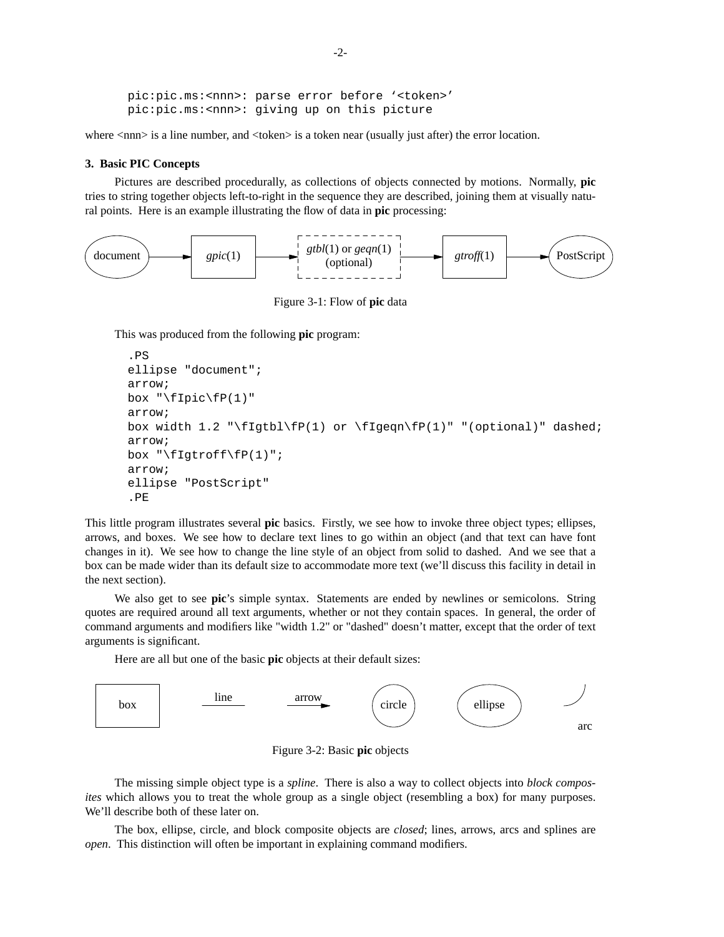pic:pic.ms:<nnn>: parse error before '<token>' pic:pic.ms:<nnn>: giving up on this picture

where  $\langle$ nnn $\rangle$  is a line number, and  $\langle$ token $\rangle$  is a token near (usually just after) the error location.

## **3. Basic PIC Concepts**

Pictures are described procedurally, as collections of objects connected by motions. Normally, **pic** tries to string together objects left-to-right in the sequence they are described, joining them at visually natural points. Here is an example illustrating the flow of data in **pic** processing:



Figure 3-1: Flow of **pic** data

This was produced from the following **pic** program:

```
.PS
ellipse "document";
arrow;
box "\fIpic\fP(1)"
arrow;
box width 1.2 "\fIgtbl\fP(1) or \fIgeqn\fP(1)" "(optional)" dashed;
arrow;
box "\fIgtroff\fP(1)";
arrow;
ellipse "PostScript"
.PE
```
This little program illustrates several **pic** basics. Firstly, we see how to invoke three object types; ellipses, arrows, and boxes. We see how to declare text lines to go within an object (and that text can have font changes in it). We see how to change the line style of an object from solid to dashed. And we see that a box can be made wider than its default size to accommodate more text (we'll discuss this facility in detail in the next section).

We also get to see **pic**'s simple syntax. Statements are ended by newlines or semicolons. String quotes are required around all text arguments, whether or not they contain spaces. In general, the order of command arguments and modifiers like "width 1.2" or "dashed" doesn't matter, except that the order of text arguments is significant.

Here are all but one of the basic **pic** objects at their default sizes:



Figure 3-2: Basic **pic** objects

The missing simple object type is a *spline*. There is also a way to collect objects into *block composites* which allows you to treat the whole group as a single object (resembling a box) for many purposes. We'll describe both of these later on.

The box, ellipse, circle, and block composite objects are *closed*; lines, arrows, arcs and splines are *open*. This distinction will often be important in explaining command modifiers.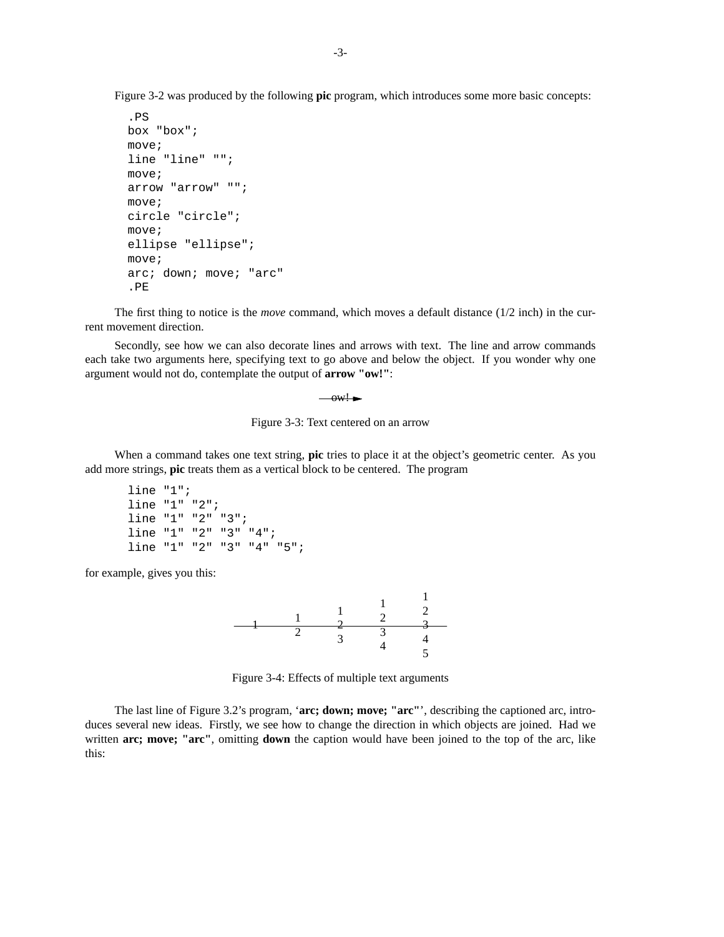Figure 3-2 was produced by the following **pic** program, which introduces some more basic concepts:

```
.PS
box "box";
move;
line "line" "";
move;
arrow "arrow" "";
move;
circle "circle";
move;
ellipse "ellipse";
move;
arc; down; move; "arc"
.PE
```
The first thing to notice is the *move* command, which moves a default distance (1/2 inch) in the current movement direction.

Secondly, see how we can also decorate lines and arrows with text. The line and arrow commands each take two arguments here, specifying text to go above and below the object. If you wonder why one argument would not do, contemplate the output of **arrow "ow!"**:

 $-w!$ 

Figure 3-3: Text centered on an arrow

When a command takes one text string, **pic** tries to place it at the object's geometric center. As you add more strings, **pic** treats them as a vertical block to be centered. The program

```
line "1";
line "1" "2";
line "1" "2" "3";
line "1" "2" "3" "4";
line "1" "2" "3" "4" "5";
```
for example, gives you this:



Figure 3-4: Effects of multiple text arguments

The last line of Figure 3.2's program, '**arc; down; move; "arc"**', describing the captioned arc, introduces several new ideas. Firstly, we see how to change the direction in which objects are joined. Had we written **arc; move; "arc"**, omitting **down** the caption would have been joined to the top of the arc, like this: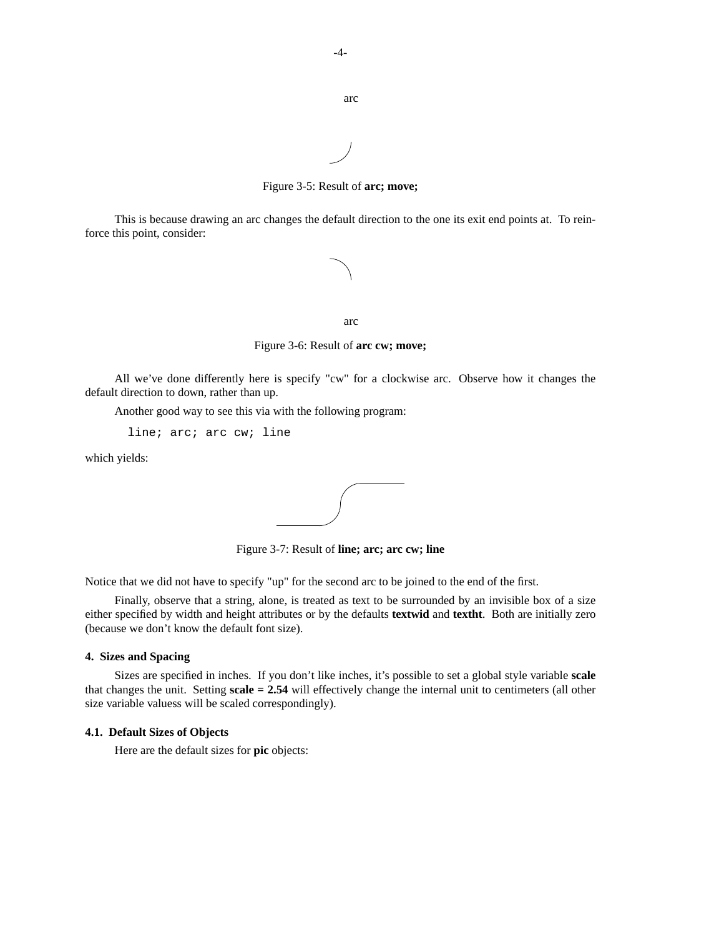-4-

```
arc
```
Figure 3-5: Result of **arc; move;**

This is because drawing an arc changes the default direction to the one its exit end points at. To reinforce this point, consider:



arc

Figure 3-6: Result of **arc cw; move;**

All we've done differently here is specify "cw" for a clockwise arc. Observe how it changes the default direction to down, rather than up.

Another good way to see this via with the following program:

line; arc; arc cw; line

which yields:



Figure 3-7: Result of **line; arc; arc cw; line**

Notice that we did not have to specify "up" for the second arc to be joined to the end of the first.

Finally, observe that a string, alone, is treated as text to be surrounded by an invisible box of a size either specified by width and height attributes or by the defaults **textwid** and **textht**. Both are initially zero (because we don't know the default font size).

## **4. Sizes and Spacing**

Sizes are specified in inches. If you don't like inches, it's possible to set a global style variable **scale** that changes the unit. Setting **scale = 2.54** will effectively change the internal unit to centimeters (all other size variable valuess will be scaled correspondingly).

### **4.1. Default Sizes of Objects**

Here are the default sizes for **pic** objects: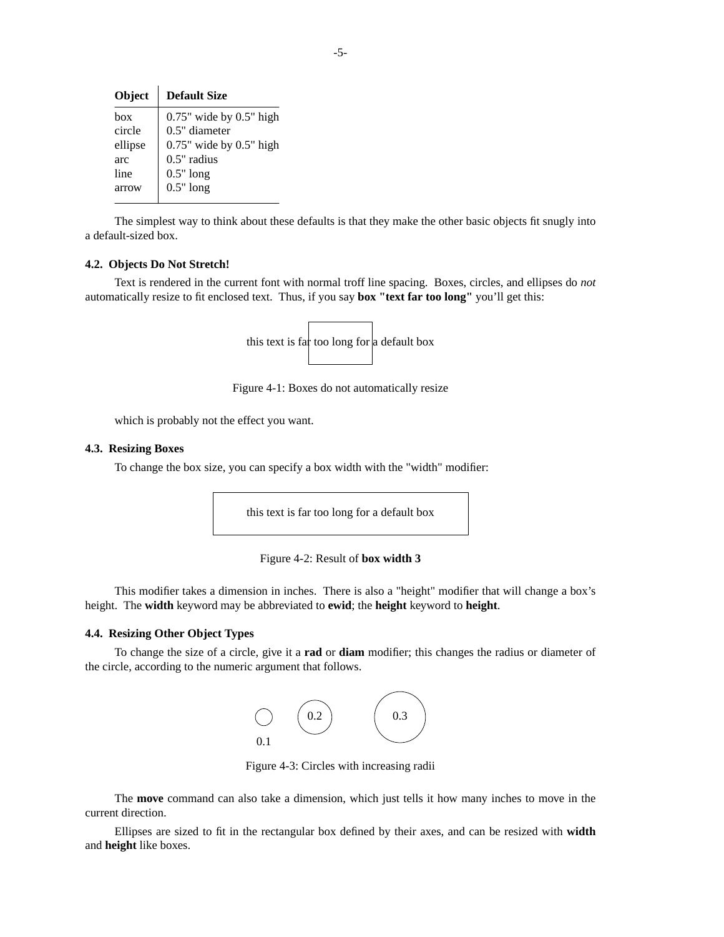| Object  | <b>Default Size</b>           |
|---------|-------------------------------|
| hox     | $0.75$ " wide by $0.5$ " high |
| circle  | $0.5"$ diameter               |
| ellipse | $0.75$ " wide by $0.5$ " high |
| arc     | $0.5"$ radius                 |
| line    | $0.5"$ long                   |
| arrow   | $0.5"$ long                   |

The simplest way to think about these defaults is that they make the other basic objects fit snugly into a default-sized box.

#### **4.2. Objects Do Not Stretch!**

Text is rendered in the current font with normal troff line spacing. Boxes, circles, and ellipses do *not* automatically resize to fit enclosed text. Thus, if you say **box "text far too long"** you'll get this:



Figure 4-1: Boxes do not automatically resize

which is probably not the effect you want.

#### **4.3. Resizing Boxes**

To change the box size, you can specify a box width with the "width" modifier:

this text is far too long for a default box



This modifier takes a dimension in inches. There is also a "height" modifier that will change a box's height. The **width** keyword may be abbreviated to **ewid**; the **height** keyword to **height**.

### **4.4. Resizing Other Object Types**

To change the size of a circle, give it a **rad** or **diam** modifier; this changes the radius or diameter of the circle, according to the numeric argument that follows.



Figure 4-3: Circles with increasing radii

The **move** command can also take a dimension, which just tells it how many inches to move in the current direction.

Ellipses are sized to fit in the rectangular box defined by their axes, and can be resized with **width** and **height** like boxes.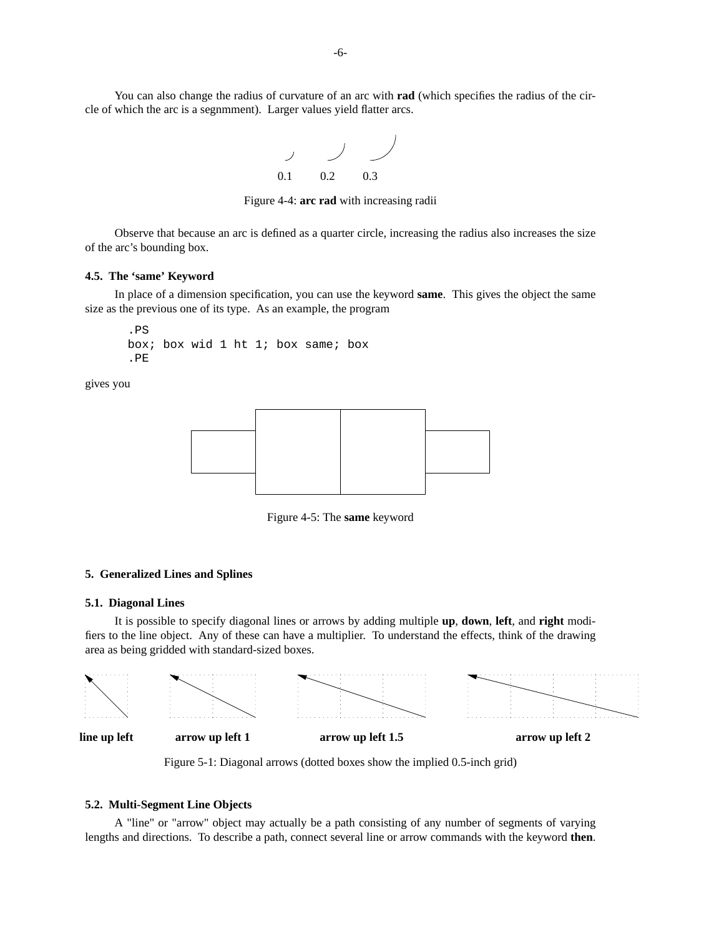

Figure 4-4: **arc rad** with increasing radii

Observe that because an arc is defined as a quarter circle, increasing the radius also increases the size of the arc's bounding box.

## **4.5. The 'same' Keyword**

In place of a dimension specification, you can use the keyword **same**. This gives the object the same size as the previous one of its type. As an example, the program

```
.PS
box; box wid 1 ht 1; box same; box
.PE
```
gives you



Figure 4-5: The **same** keyword

### **5. Generalized Lines and Splines**

#### **5.1. Diagonal Lines**

It is possible to specify diagonal lines or arrows by adding multiple **up**, **down**, **left**, and **right** modifiers to the line object. Any of these can have a multiplier. To understand the effects, think of the drawing area as being gridded with standard-sized boxes.



Figure 5-1: Diagonal arrows (dotted boxes show the implied 0.5-inch grid)

#### **5.2. Multi-Segment Line Objects**

A "line" or "arrow" object may actually be a path consisting of any number of segments of varying lengths and directions. To describe a path, connect several line or arrow commands with the keyword **then**.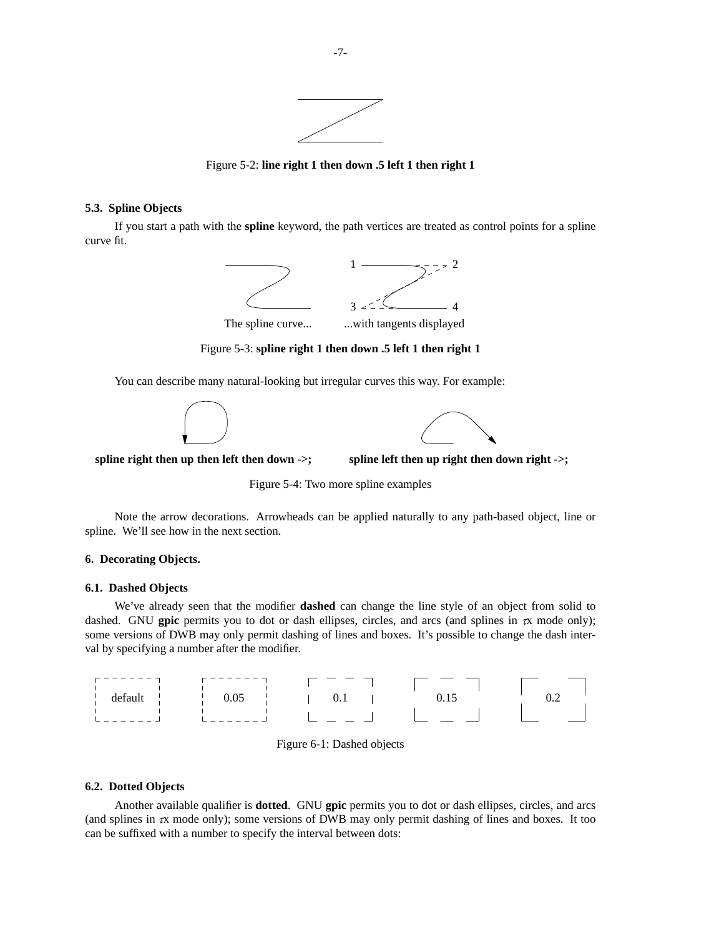

Figure 5-2: **line right 1 then down .5 left 1 then right 1**

## **5.3. Spline Objects**

If you start a path with the **spline** keyword, the path vertices are treated as control points for a spline curve fit.



Figure 5-3: **spline right 1 then down .5 left 1 then right 1**

You can describe many natural-looking but irregular curves this way. For example:





spline right then up then left then down ->; spline left then up right then down right ->;

Figure 5-4: Two more spline examples

Note the arrow decorations. Arrowheads can be applied naturally to any path-based object, line or spline. We'll see how in the next section.

## **6. Decorating Objects.**

## **6.1. Dashed Objects**

We've already seen that the modifier **dashed** can change the line style of an object from solid to dashed. GNU gpic permits you to dot or dash ellipses, circles, and arcs (and splines in  $\pi$  mode only); some versions of DWB may only permit dashing of lines and boxes. It's possible to change the dash interval by specifying a number after the modifier.

| default<br>таин | $\frac{1}{2}$ 0.05 | 0.1 |  |
|-----------------|--------------------|-----|--|
|                 |                    |     |  |

|  | Figure 6-1: Dashed objects |  |
|--|----------------------------|--|
|  |                            |  |

### **6.2. Dotted Objects**

Another available qualifier is **dotted**. GNU **gpic** permits you to dot or dash ellipses, circles, and arcs (and splines in  $\alpha$  mode only); some versions of DWB may only permit dashing of lines and boxes. It too can be suffixed with a number to specify the interval between dots: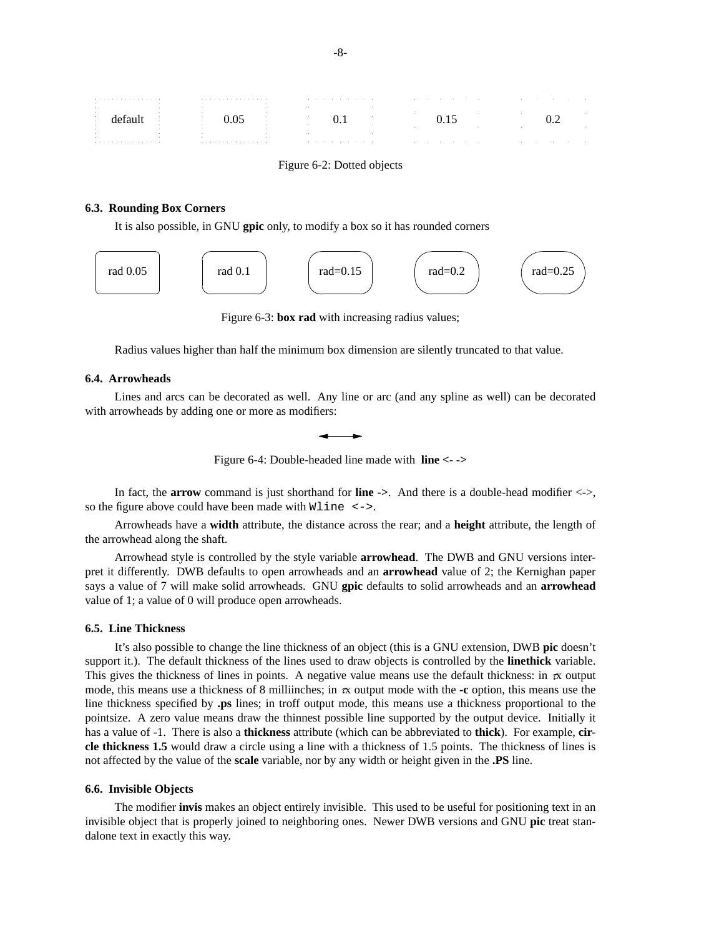| .                        | . |   | restaurante de la construcción de la construcción de la construcción de la construcción de la construcción de |  |
|--------------------------|---|---|---------------------------------------------------------------------------------------------------------------|--|
|                          |   |   |                                                                                                               |  |
|                          |   |   |                                                                                                               |  |
| $\overline{\phantom{a}}$ |   |   |                                                                                                               |  |
|                          |   |   |                                                                                                               |  |
|                          |   |   |                                                                                                               |  |
|                          |   |   |                                                                                                               |  |
| .                        | . | . | the contract of the contract of the contract of the contract of the contract of<br>$\sim$ $\sim$ $\sim$       |  |

Figure 6-2: Dotted objects

## **6.3. Rounding Box Corners**

It is also possible, in GNU **gpic** only, to modify a box so it has rounded corners



Figure 6-3: **box rad** with increasing radius values;

Radius values higher than half the minimum box dimension are silently truncated to that value.

## **6.4. Arrowheads**

Lines and arcs can be decorated as well. Any line or arc (and any spline as well) can be decorated with arrowheads by adding one or more as modifiers:



Figure 6-4: Double-headed line made with **line <- ->**

In fact, the **arrow** command is just shorthand for **line ->**. And there is a double-head modifier <->, so the figure above could have been made with Wline <->.

Arrowheads have a **width** attribute, the distance across the rear; and a **height** attribute, the length of the arrowhead along the shaft.

Arrowhead style is controlled by the style variable **arrowhead**. The DWB and GNU versions interpret it differently. DWB defaults to open arrowheads and an **arrowhead** value of 2; the Kernighan paper says a value of 7 will make solid arrowheads. GNU **gpic** defaults to solid arrowheads and an **arrowhead** value of 1; a value of 0 will produce open arrowheads.

#### **6.5. Line Thickness**

It's also possible to change the line thickness of an object (this is a GNU extension, DWB **pic** doesn't support it.). The default thickness of the lines used to draw objects is controlled by the **linethick** variable. This gives the thickness of lines in points. A negative value means use the default thickness: in  $\alpha$  output mode, this means use a thickness of 8 milliinches; in  $\alpha$  output mode with the **-c** option, this means use the line thickness specified by **.ps** lines; in troff output mode, this means use a thickness proportional to the pointsize. A zero value means draw the thinnest possible line supported by the output device. Initially it has a value of -1. There is also a **thickness** attribute (which can be abbreviated to **thick**). For example, **circle thickness 1.5** would drawacircle using a line with a thickness of 1.5 points. The thickness of lines is not affected by the value of the **scale** variable, nor by any width or height given in the **.PS** line.

#### **6.6. Invisible Objects**

The modifier **invis** makes an object entirely invisible. This used to be useful for positioning text in an invisible object that is properly joined to neighboring ones. Newer DWB versions and GNU **pic** treat standalone text in exactly this way.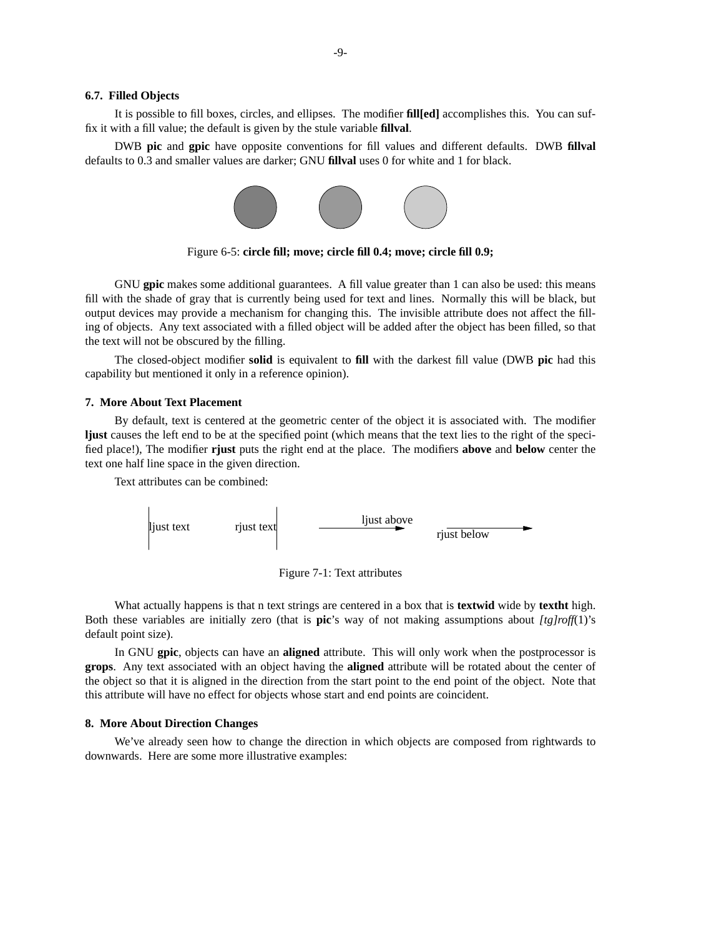#### **6.7. Filled Objects**

It is possible to fill boxes, circles, and ellipses. The modifier **fill[ed]** accomplishes this. You can suffix it with a fill value; the default is given by the stule variable **fillval**.

DWB **pic** and **gpic** have opposite conventions for fill values and different defaults. DWB **fillval** defaults to 0.3 and smaller values are darker; GNU **fillval** uses 0 for white and 1 for black.



Figure 6-5: **circle fill; move; circle fill 0.4; move; circle fill 0.9;**

GNU **gpic** makes some additional guarantees. A fill value greater than 1 can also be used: this means fill with the shade of gray that is currently being used for text and lines. Normally this will be black, but output devices may provide a mechanism for changing this. The invisible attribute does not affect the filling of objects. Any text associated with a filled object will be added after the object has been filled, so that the text will not be obscured by the filling.

The closed-object modifier **solid** is equivalent to **fill** with the darkest fill value (DWB **pic** had this capability but mentioned it only in a reference opinion).

#### **7. More About Text Placement**

By default, text is centered at the geometric center of the object it is associated with. The modifier **ljust** causes the left end to be at the specified point (which means that the text lies to the right of the specified place!), The modifier **rjust** puts the right end at the place. The modifiers **above** and **below** center the text one half line space in the given direction.

Text attributes can be combined:



Figure 7-1: Text attributes

What actually happens is that n text strings are centered in a box that is **textwid** wide by **textht** high. Both these variables are initially zero (that is **pic**'s way of not making assumptions about *[tg]roff*(1)'s default point size).

In GNU **gpic**, objects can have an **aligned** attribute. This will only work when the postprocessor is **grops**. Any text associated with an object having the **aligned** attribute will be rotated about the center of the object so that it is aligned in the direction from the start point to the end point of the object. Note that this attribute will have no effect for objects whose start and end points are coincident.

### **8. More About Direction Changes**

We've already seen how to change the direction in which objects are composed from rightwards to downwards. Here are some more illustrative examples: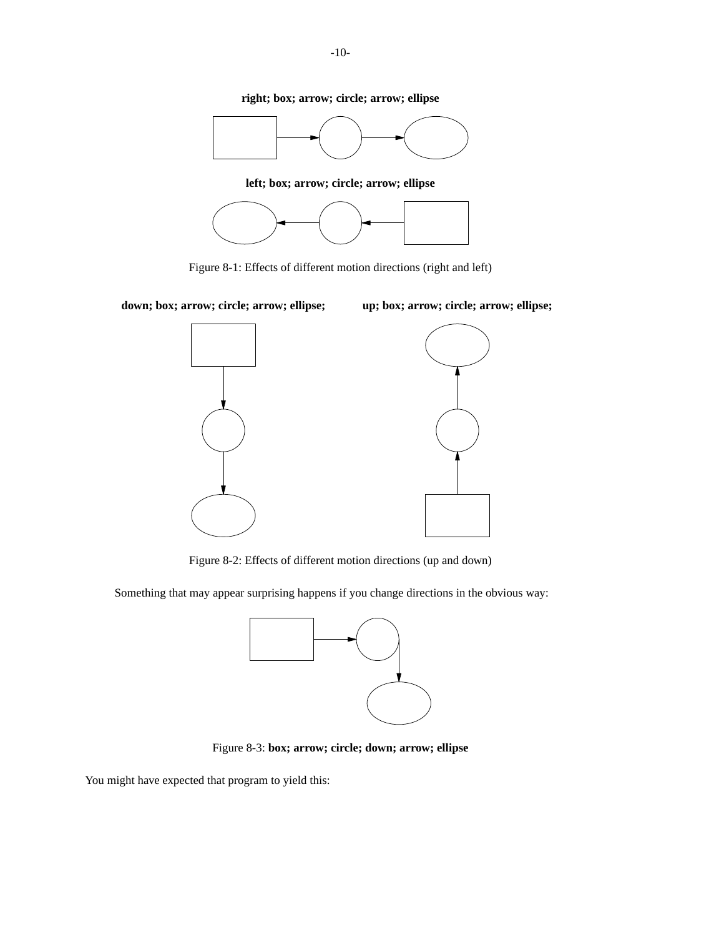**right; box; arrow; circle; arrow; ellipse**



**left; box; arrow; circle; arrow; ellipse**



Figure 8-1: Effects of different motion directions (right and left)

**down; box; arrow; circle; arrow; ellipse; up; box; arrow; circle; arrow; ellipse;**



Figure 8-2: Effects of different motion directions (up and down)

Something that may appear surprising happens if you change directions in the obvious way:



Figure 8-3: **box; arrow; circle; down; arrow; ellipse**

You might have expected that program to yield this: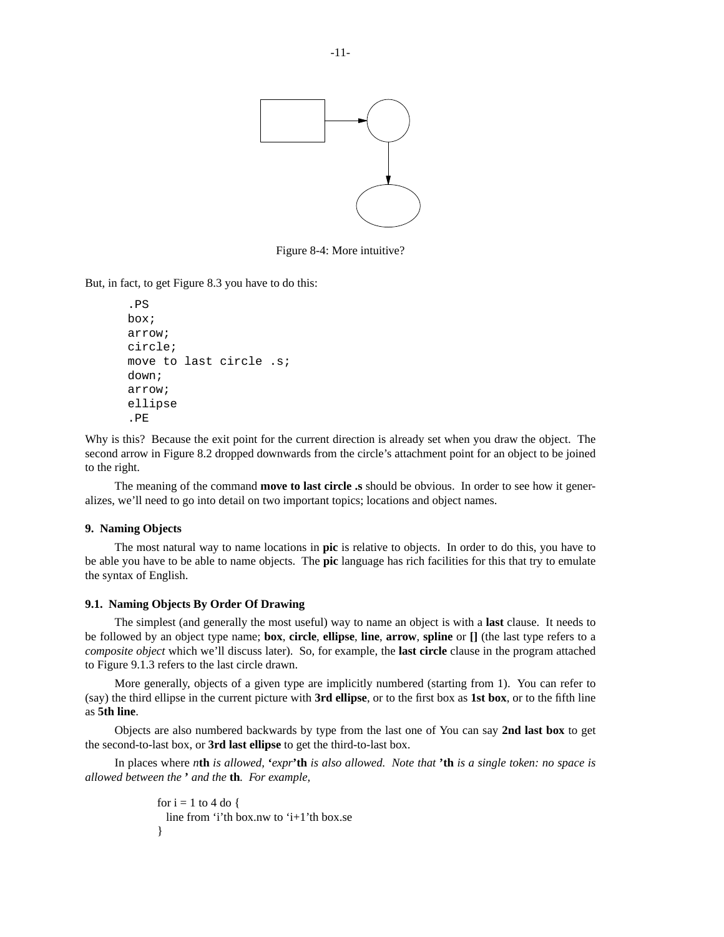

Figure 8-4: More intuitive?

But, in fact, to get Figure 8.3 you have to do this:

```
.PS
box;
arrow;
circle;
move to last circle .s;
down;
arrow;
ellipse
.PE
```
Why is this? Because the exit point for the current direction is already set when you draw the object. The second arrow in Figure 8.2 dropped downwards from the circle's attachment point for an object to be joined to the right.

The meaning of the command **move to last circle .s** should be obvious. In order to see how it generalizes, we'll need to go into detail on two important topics; locations and object names.

## **9. Naming Objects**

The most natural way to name locations in **pic** is relative to objects. In order to do this, you have to be able you have to be able to name objects. The **pic** language has rich facilities for this that try to emulate the syntax of English.

## **9.1. Naming Objects By Order Of Drawing**

The simplest (and generally the most useful) way to name an object is with a **last** clause. It needs to be followed by an object type name; **box**, **circle**, **ellipse**, **line**, **arrow**, **spline** or **[]** (the last type refers to a *composite object* which we'll discuss later). So, for example, the **last circle** clause in the program attached to Figure 9.1.3 refers to the last circle drawn.

More generally, objects of a given type are implicitly numbered (starting from 1). You can refer to (say) the third ellipse in the current picture with **3rd ellipse**, or to the first box as **1st box**, or to the fifth line as **5th line**.

Objects are also numbered backwards by type from the last one of You can say **2nd last box** to get the second-to-last box, or **3rd last ellipse** to get the third-to-last box.

In places where *n***th** *is allowed,* **'***expr***'th** *is also allowed. Note that* **'th** *is a single token: no space is allowed between the* **'** *and the* **th***. For example,*

```
for i = 1 to 4 do {
 line from 'i'th box.nw to 'i+1'th box.se
}
```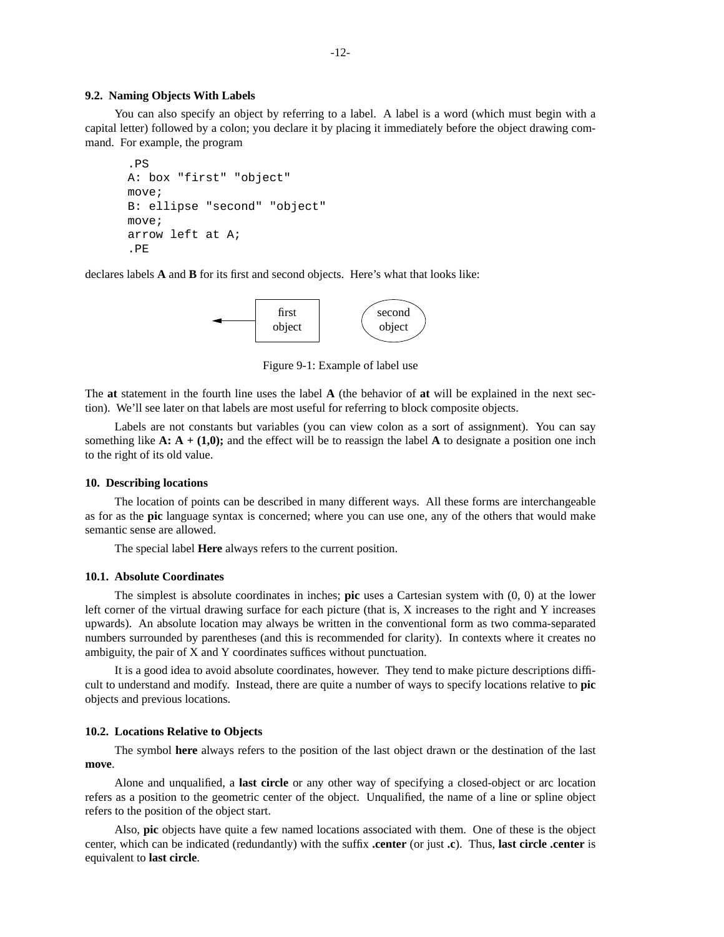#### **9.2. Naming Objects With Labels**

You can also specify an object by referring to a label. A label is a word (which must begin with a capital letter) followed by a colon; you declare it by placing it immediately before the object drawing command. For example, the program

```
.PS
A: box "first" "object"
move;
B: ellipse "second" "object"
move;
arrow left at A;
.PE
```
declares labels **A** and **B** for its first and second objects. Here's what that looks like:



Figure 9-1: Example of label use

The **at** statement in the fourth line uses the label **A** (the behavior of **at** will be explained in the next section). We'll see later on that labels are most useful for referring to block composite objects.

Labels are not constants but variables (you can view colon as a sort of assignment). You can say something like  $\mathbf{A} : \mathbf{A} + (1,0)$ ; and the effect will be to reassign the label  $\mathbf{A}$  to designate a position one inch to the right of its old value.

#### **10. Describing locations**

The location of points can be described in many different ways. All these forms are interchangeable as for as the **pic** language syntax is concerned; where you can use one, any of the others that would make semantic sense are allowed.

The special label **Here** always refers to the current position.

#### **10.1. Absolute Coordinates**

The simplest is absolute coordinates in inches; **pic** uses a Cartesian system with (0, 0) at the lower left corner of the virtual drawing surface for each picture (that is, X increases to the right and Y increases upwards). An absolute location may always be written in the conventional form as two comma-separated numbers surrounded by parentheses (and this is recommended for clarity). In contexts where it creates no ambiguity, the pair of X and Y coordinates suffices without punctuation.

It is a good idea to avoid absolute coordinates, however. They tend to make picture descriptions difficult to understand and modify. Instead, there are quite a number of ways to specify locations relative to **pic** objects and previous locations.

### **10.2. Locations Relative to Objects**

The symbol **here** always refers to the position of the last object drawn or the destination of the last **move**.

Alone and unqualified, a **last circle** or any other way of specifying a closed-object or arc location refers as a position to the geometric center of the object. Unqualified, the name of a line or spline object refers to the position of the object start.

Also, **pic** objects have quite a few named locations associated with them. One of these is the object center, which can be indicated (redundantly) with the suffix **.center** (or just **.c**). Thus, **last circle .center** is equivalent to **last circle**.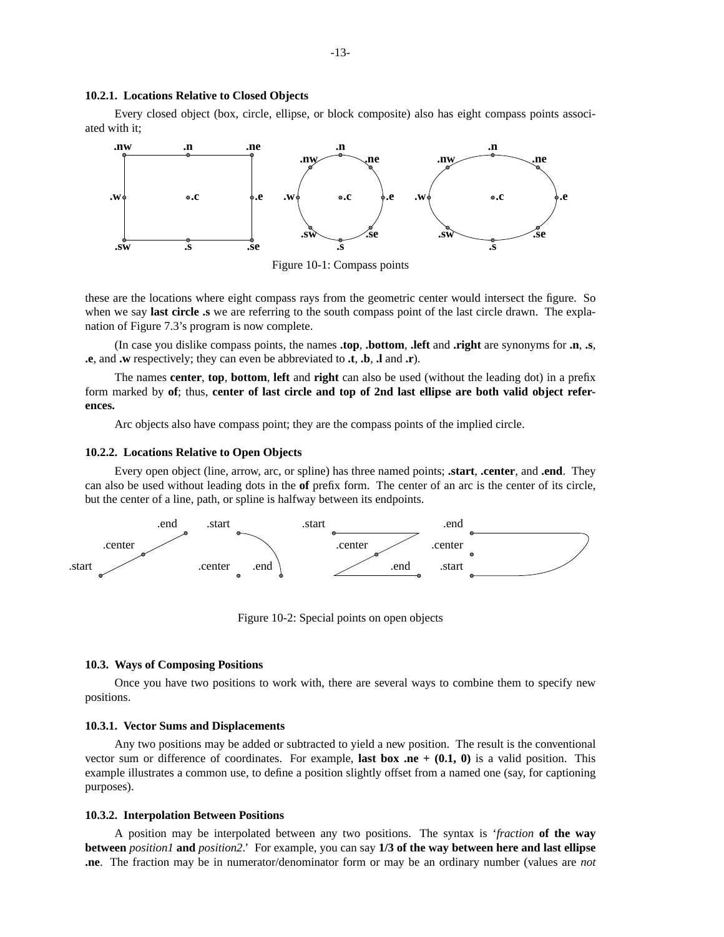### **10.2.1. Locations Relative to Closed Objects**

Every closed object (box, circle, ellipse, or block composite) also has eight compass points associated with it;



Figure 10-1: Compass points

these are the locations where eight compass rays from the geometric center would intersect the figure. So when we say **last circle .s** we are referring to the south compass point of the last circle drawn. The explanation of Figure 7.3's program is now complete.

(In case you dislike compass points, the names **.top**, **.bottom**, **.left** and **.right** are synonyms for **.n**, **.s**, **.e**, and **.w** respectively; they can even be abbreviated to **.t**, **.b**, **.l** and **.r**).

The names **center**, **top**, **bottom**, **left** and **right** can also be used (without the leading dot) in a prefix form marked by **of**; thus, **center of last circle and top of 2nd last ellipse are both valid object references.**

Arc objects also have compass point; they are the compass points of the implied circle.

### **10.2.2. Locations Relative to Open Objects**

Every open object (line, arrow, arc, or spline) has three named points; **.start**, **.center**, and **.end**. They can also be used without leading dots in the **of** prefix form. The center of an arc is the center of its circle, but the center of a line, path, or spline is halfway between its endpoints.



Figure 10-2: Special points on open objects

#### **10.3. Ways of Composing Positions**

Once you have two positions to work with, there are several ways to combine them to specify new positions.

#### **10.3.1. Vector Sums and Displacements**

Any two positions may be added or subtracted to yield a new position. The result is the conventional vector sum or difference of coordinates. For example, **last box .ne**  $+ (0.1, 0)$  is a valid position. This example illustrates a common use, to define a position slightly offset from a named one (say, for captioning purposes).

#### **10.3.2. Interpolation Between Positions**

A position may be interpolated between any two positions. The syntax is '*fraction* **of the way between** *position1* **and** *position2*.' For example, you can say **1/3 of the way between here and last ellipse .ne**. The fraction may be in numerator/denominator form or may be an ordinary number (values are *not*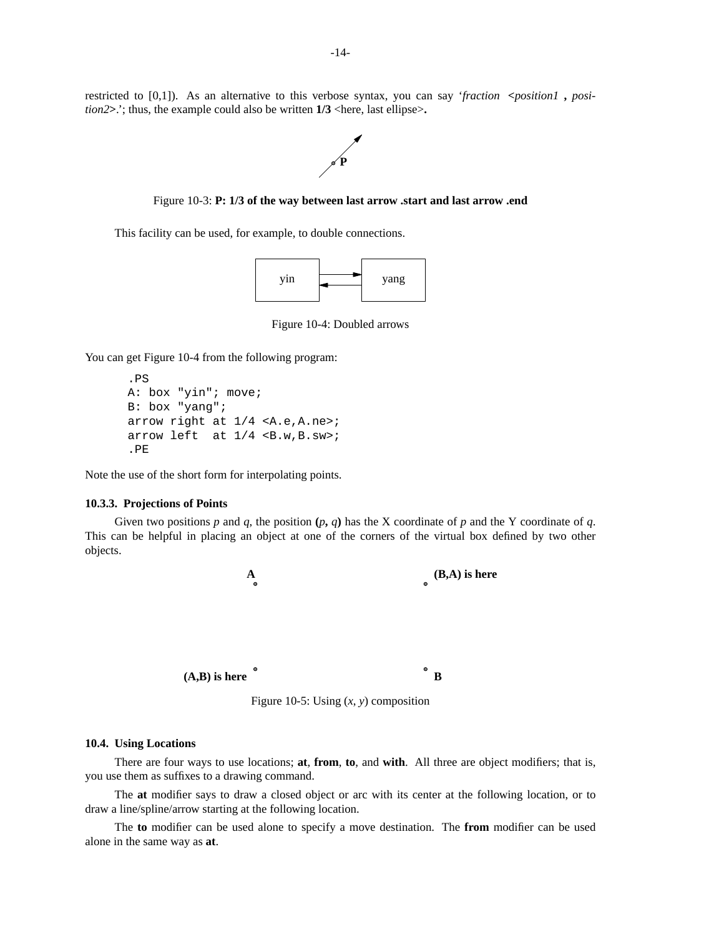restricted to [0,1]). As an alternative to this verbose syntax, you can say '*fraction* **<***position1* **,** *position2* $>$ .'; thus, the example could also be written **1/3** <here, last ellipse $>$ .



Figure 10-3: **P: 1/3 of the way between last arrow .start and last arrow .end**

This facility can be used, for example, to double connections.



Figure 10-4: Doubled arrows

You can get Figure 10-4 from the following program:

```
.PS
A: box "yin"; move;
B: box "yang";
arrow right at 1/4 <A.e,A.ne>;
arrow left at 1/4 <B.w,B.sw>;
.PE
```
Note the use of the short form for interpolating points.

#### **10.3.3. Projections of Points**

Given two positions  $p$  and  $q$ , the position  $(p, q)$  has the X coordinate of  $p$  and the Y coordinate of  $q$ . This can be helpful in placing an object at one of the corners of the virtual box defined by two other objects.



Figure 10-5: Using  $(x, y)$  composition

#### **10.4. Using Locations**

There are four ways to use locations; **at**, **from**, **to**, and **with**. All three are object modifiers; that is, you use them as suffixes to a drawing command.

The **at** modifier says to drawa closed object or arc with its center at the following location, or to draw a line/spline/arrow starting at the following location.

The **to** modifier can be used alone to specify a move destination. The **from** modifier can be used alone in the same way as **at**.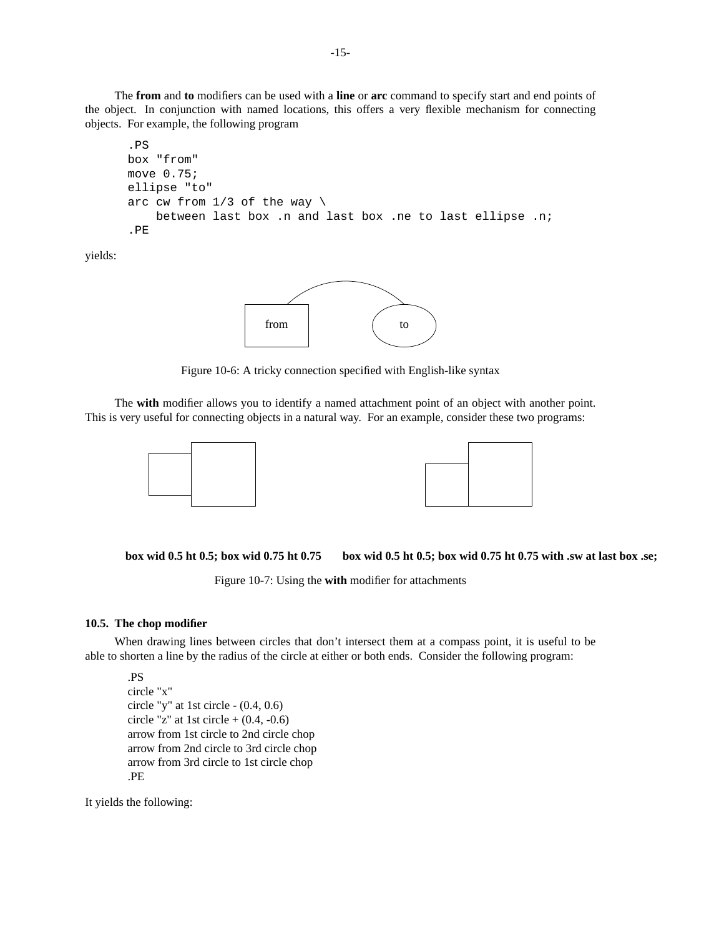The **from** and **to** modifiers can be used with a **line** or **arc** command to specify start and end points of the object. In conjunction with named locations, this offers a very flexible mechanism for connecting objects. For example, the following program

```
.PS
box "from"
move 0.75;
ellipse "to"
arc cw from 1/3 of the way \
    between last box .n and last box .ne to last ellipse .n;
.PE
```
yields:



Figure 10-6: A tricky connection specified with English-like syntax

The **with** modifier allows you to identify a named attachment point of an object with another point. This is very useful for connecting objects in a natural way. For an example, consider these two programs:



**box wid 0.5 ht 0.5; box wid 0.75 ht 0.75 box wid 0.5 ht 0.5; box wid 0.75 ht 0.75 with .sw at last box .se;**

Figure 10-7: Using the **with** modifier for attachments

### **10.5. The chop modifier**

When drawing lines between circles that don't intersect them at a compass point, it is useful to be able to shorten a line by the radius of the circle at either or both ends. Consider the following program:

```
.PS
circle "x"
circle "y" at 1st circle - (0.4, 0.6)
circle "z" at 1st circle + (0.4, -0.6)
arrow from 1st circle to 2nd circle chop
arrow from 2nd circle to 3rd circle chop
arrow from 3rd circle to 1st circle chop
.PE
```
It yields the following: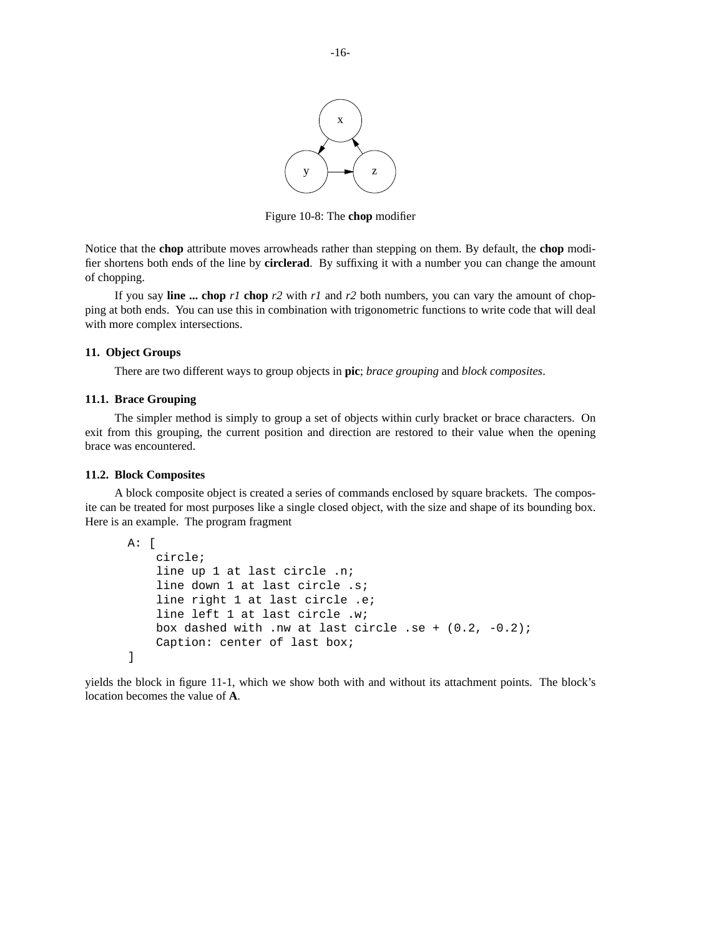

Figure 10-8: The **chop** modifier

Notice that the **chop** attribute moves arrowheads rather than stepping on them. By default, the **chop** modifier shortens both ends of the line by **circlerad**. By suffixing it with a number you can change the amount of chopping.

If you say **line ... chop** *r1* **chop** *r2* with *r1* and *r2* both numbers, you can vary the amount of chopping at both ends. You can use this in combination with trigonometric functions to write code that will deal with more complex intersections.

#### **11. Object Groups**

There are two different ways to group objects in **pic**; *brace grouping* and *block composites*.

## **11.1. Brace Grouping**

The simpler method is simply to group a set of objects within curly bracket or brace characters. On exit from this grouping, the current position and direction are restored to their value when the opening brace was encountered.

### **11.2. Block Composites**

A block composite object is created a series of commands enclosed by square brackets. The composite can be treated for most purposes like a single closed object, with the size and shape of its bounding box. Here is an example. The program fragment

```
A: [
    circle;
    line up 1 at last circle .n;
    line down 1 at last circle .s;
    line right 1 at last circle .e;
    line left 1 at last circle .w;
    box dashed with .nw at last circle .se + (0.2, -0.2);
    Caption: center of last box;
]
```
yields the block in figure 11-1, which we show both with and without its attachment points. The block's location becomes the value of **A**.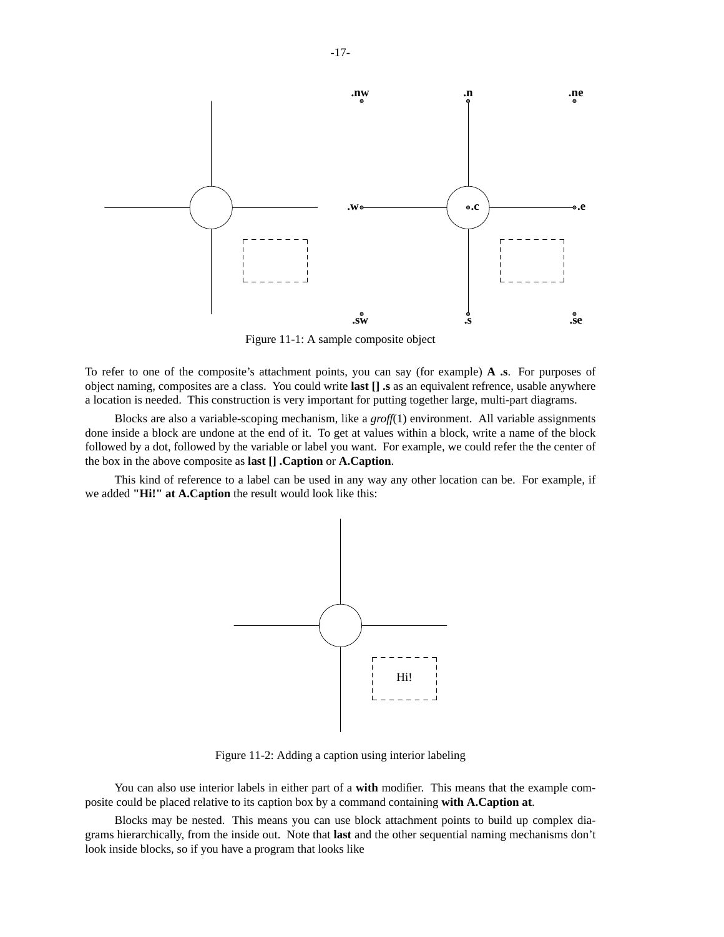

Figure 11-1: A sample composite object

To refer to one of the composite's attachment points, you can say (for example) **A .s**. For purposes of object naming, composites are a class. You could write **last [] .s** as an equivalent refrence, usable anywhere a location is needed. This construction is very important for putting together large, multi-part diagrams.

Blocks are also a variable-scoping mechanism, like a *groff*(1) environment. All variable assignments done inside a block are undone at the end of it. To get at values within a block, write a name of the block followed by a dot, followed by the variable or label you want. For example, we could refer the the center of the box in the above composite as **last [] .Caption** or **A.Caption**.

This kind of reference to a label can be used in any way any other location can be. For example, if we added **"Hi!" at A.Caption** the result would look like this:



Figure 11-2: Adding a caption using interior labeling

You can also use interior labels in either part of a **with** modifier. This means that the example composite could be placed relative to its caption box by a command containing **with A.Caption at**.

Blocks may be nested. This means you can use block attachment points to build up complex diagrams hierarchically, from the inside out. Note that **last** and the other sequential naming mechanisms don't look inside blocks, so if you have a program that looks like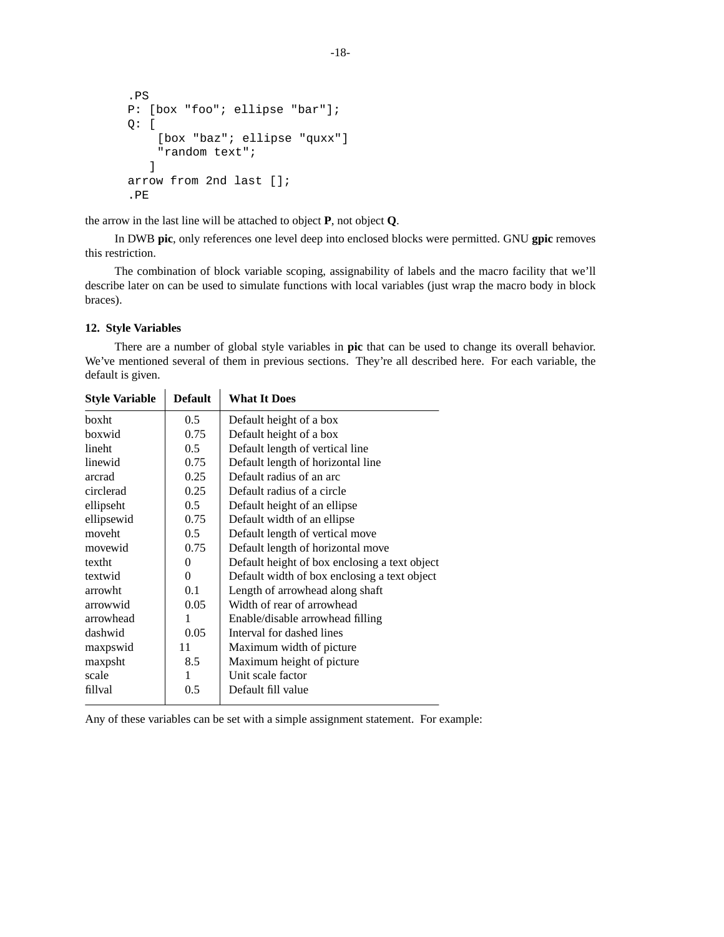```
.PS
P: [box "foo"; ellipse "bar"];
Q: [
    [box "baz"; ellipse "quxx"]
    "random text";
   ]
arrow from 2nd last [];
.PE
```
the arrow in the last line will be attached to object **P**, not object **Q**.

In DWB **pic**, only references one level deep into enclosed blocks were permitted. GNU **gpic** removes this restriction.

The combination of block variable scoping, assignability of labels and the macro facility that we'll describe later on can be used to simulate functions with local variables (just wrap the macro body in block braces).

## **12. Style Variables**

There are a number of global style variables in **pic** that can be used to change its overall behavior. We've mentioned several of them in previous sections. They're all described here. For each variable, the default is given.

| <b>Style Variable</b> | <b>Default</b> | <b>What It Does</b>                           |
|-----------------------|----------------|-----------------------------------------------|
| boxht                 | 0.5            | Default height of a box                       |
| boxwid                | 0.75           | Default height of a box                       |
| lineht                | 0.5            | Default length of vertical line               |
| linewid               | 0.75           | Default length of horizontal line             |
| arcrad                | 0.25           | Default radius of an arc                      |
| circlerad             | 0.25           | Default radius of a circle                    |
| ellipseht             | $0.5^{\circ}$  | Default height of an ellipse                  |
| ellipsewid            | 0.75           | Default width of an ellipse                   |
| moveht                | 0.5            | Default length of vertical move               |
| movewid               | 0.75           | Default length of horizontal move             |
| textht                | $\theta$       | Default height of box enclosing a text object |
| textwid               | 0              | Default width of box enclosing a text object  |
| arrowht               | 0.1            | Length of arrowhead along shaft               |
| arrowwid              | 0.05           | Width of rear of arrowhead                    |
| arrowhead             |                | Enable/disable arrowhead filling              |
| dashwid               | 0.05           | Interval for dashed lines                     |
| maxpswid              | 11             | Maximum width of picture                      |
| maxpsht               | 8.5            | Maximum height of picture                     |
| scale                 | 1              | Unit scale factor                             |
| fillval               | 0.5            | Default fill value                            |
|                       |                |                                               |

Any of these variables can be set with a simple assignment statement. For example: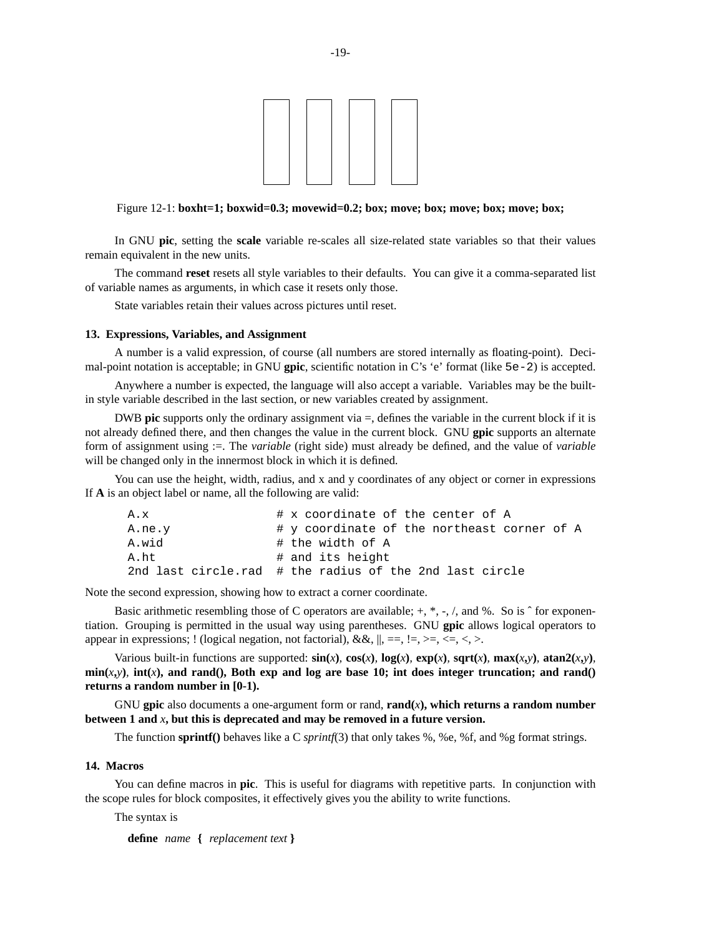

#### Figure 12-1: **boxht=1; boxwid=0.3; movewid=0.2; box; move; box; move; box; move; box;**

In GNU **pic**, setting the **scale** variable re-scales all size-related state variables so that their values remain equivalent in the new units.

The command **reset** resets all style variables to their defaults. You can give ita comma-separated list of variable names as arguments, in which case it resets only those.

State variables retain their values across pictures until reset.

#### **13. Expressions, Variables, and Assignment**

A number is a valid expression, of course (all numbers are stored internally as floating-point). Decimal-point notation is acceptable; in GNU **gpic**, scientific notation in C's 'e' format (like 5e-2) is accepted.

Anywhere a number is expected, the language will also accept a variable. Variables may be the builtin style variable described in the last section, or new variables created by assignment.

DWB **pic** supports only the ordinary assignment via =, defines the variable in the current block if it is not already defined there, and then changes the value in the current block. GNU **gpic** supports an alternate form of assignment using :=. The *variable* (right side) must already be defined, and the value of *variable* will be changed only in the innermost block in which it is defined.

You can use the height, width, radius, and x and y coordinates of any object or corner in expressions If **A** is an object label or name, all the following are valid:

| A.x    | # x coordinate of the center of A                       |
|--------|---------------------------------------------------------|
| A.ne.y | # y coordinate of the northeast corner of A             |
| A.wid  | # the width of A                                        |
| A.ht   | # and its height                                        |
|        | 2nd last circle.rad # the radius of the 2nd last circle |

Note the second expression, showing how to extract a corner coordinate.

Basic arithmetic resembling those of C operators are available;  $+, *, -, /$ , and %. So is  $\hat{ }$  for exponentiation. Grouping is permitted in the usual way using parentheses. GNU **gpic** allows logical operators to appear in expressions; ! (logical negation, not factorial),  $\&&\&\,,\,\parallel,\,\equiv\,,\,\parallel,\,\lt;\,,\lt;\,\prec,\lt;\,,\gt$ .

Various built-in functions are supported:  $sin(x)$ ,  $cos(x)$ ,  $log(x)$ ,  $exp(x)$ ,  $sqrt(x)$ ,  $max(x,y)$ ,  $atan2(x,y)$ ,  $min(x, y)$ ,  $int(x)$ , and rand(), Both exp and log are base 10; int does integer truncation; and rand() **returns a random number in [0-1).**

GNU gpic also documents a one-argument form or rand,  $\text{rand}(x)$ , which returns a random number between 1 and  $x$ , but this is deprecated and may be removed in a future version.

The function **sprintf**() behaves like a C *sprintf*(3) that only takes %, %e, %f, and %g format strings.

### **14. Macros**

You can define macros in **pic**. This is useful for diagrams with repetitive parts. In conjunction with the scope rules for block composites, it effectively gives you the ability to write functions.

The syntax is

**define** *name* **{** *replacement text* **}**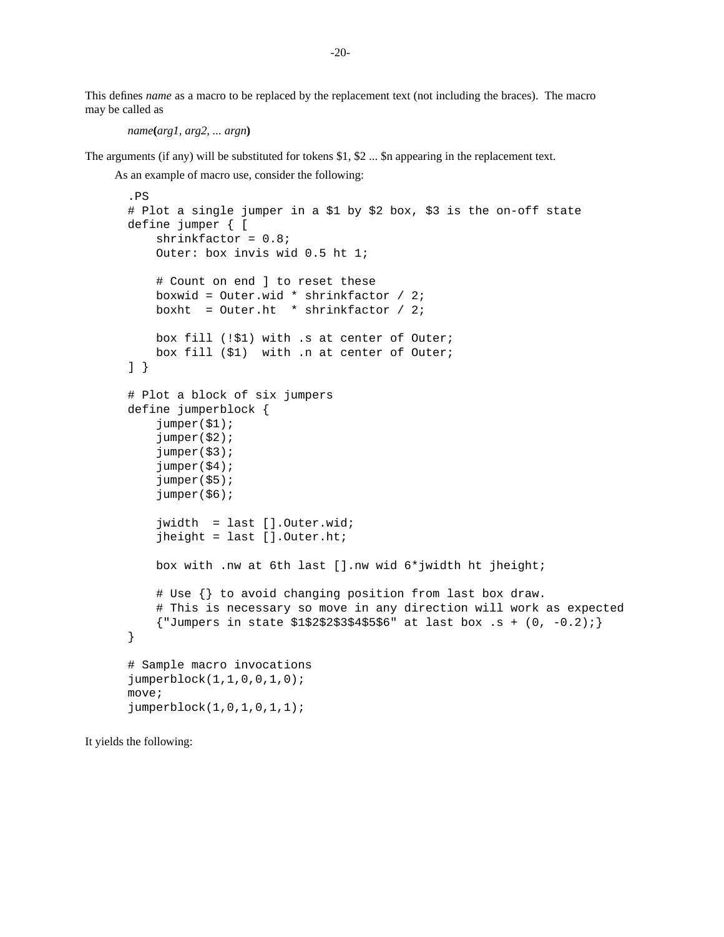This defines *name* as a macro to be replaced by the replacement text (not including the braces). The macro may be called as

```
name(arg1, arg2, ... argn)
```
The arguments (if any) will be substituted for tokens \$1, \$2 ... \$n appearing in the replacement text.

As an example of macro use, consider the following:

```
.PS
# Plot a single jumper in a $1 by $2 box, $3 is the on-off state
define jumper { [
    shrinkfactor = 0.8;
    Outer: box invis wid 0.5 ht 1;
    # Count on end ] to reset these
    boxwid = Outer.wid * shrinkfactor / 2;
    boxht = Outer.ht * shrinkfactor / 2;
    box fill (!$1) with .s at center of Outer;
    box fill ($1) with .n at center of Outer;
] }
# Plot a block of six jumpers
define jumperblock {
    jumper($1);
    jumper($2);
    jumper($3);
    jumper($4);
    jumper($5);
    jumper($6);
    jwidth = last [].Outer.wid;
    jheight = last [].Outer.ht;
    box with .nw at 6th last [].nw wid 6*jwidth ht jheight;
    # Use {} to avoid changing position from last box draw.
    # This is necessary so move in any direction will work as expected
    {\text{}'\text{-}Jumpers} in state $1$2$2$3$4$5$6" at last box .s + (0, -0.2)i}
# Sample macro invocations
jumperblock(1,1,0,0,1,0);
move;
jumperblock(1,0,1,0,1,1);
```
It yields the following: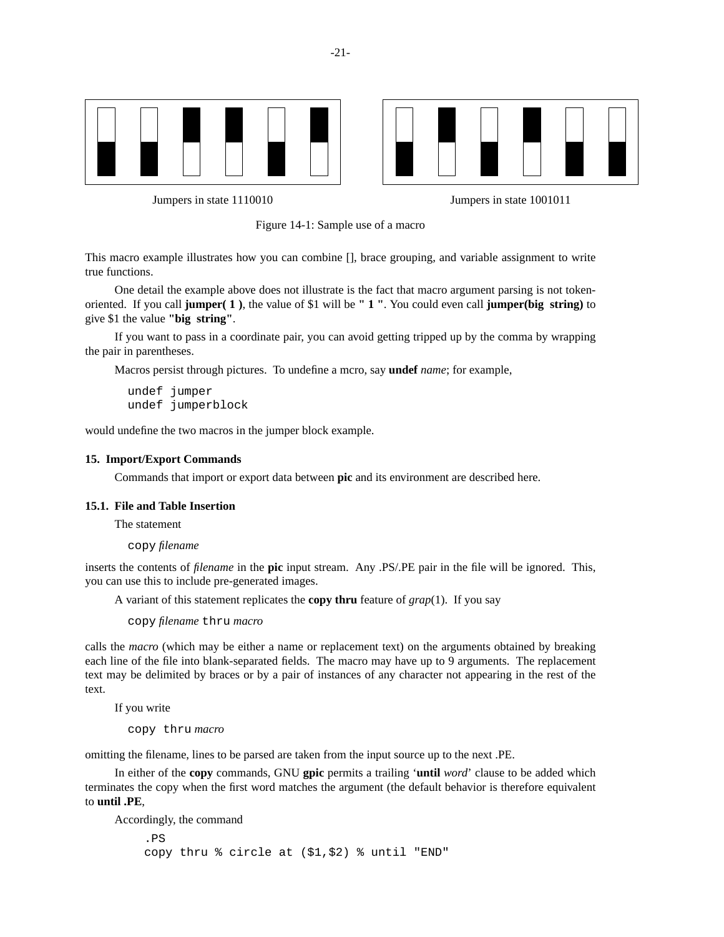



Jumpers in state 1110010 Jumpers in state 1001011



This macro example illustrates how you can combine [], brace grouping, and variable assignment to write true functions.

One detail the example above does not illustrate is the fact that macro argument parsing is not tokenoriented. If you call **jumper( 1 )**, the value of \$1 will be **"1"**. You could even call **jumper(big string)** to give \$1 the value **"big string"**.

If you want to pass in a coordinate pair, you can avoid getting tripped up by the comma by wrapping the pair in parentheses.

Macros persist through pictures. To undefine a mcro, say **undef** *name*; for example,

undef jumper undef jumperblock

would undefine the two macros in the jumper block example.

#### **15. Import/Export Commands**

Commands that import or export data between **pic** and its environment are described here.

## **15.1. File and Table Insertion**

The statement

copy *filename*

inserts the contents of *filename* in the **pic** input stream. Any .PS/.PE pair in the file will be ignored. This, you can use this to include pre-generated images.

A variant of this statement replicates the **copy thru** feature of *grap*(1). If you say

copy *filename* thru *macro*

calls the *macro* (which may be either a name or replacement text) on the arguments obtained by breaking each line of the file into blank-separated fields. The macro may have up to 9 arguments. The replacement text may be delimited by braces or by a pair of instances of any character not appearing in the rest of the text.

If you write

copy thru *macro*

omitting the filename, lines to be parsed are taken from the input source up to the next .PE.

In either of the **copy** commands, GNU **gpic** permits a trailing '**until** *word*' clause to be added which terminates the copy when the first word matches the argument (the default behavior is therefore equivalent to **until .PE**,

Accordingly, the command

.PS copy thru % circle at (\$1,\$2) % until "END"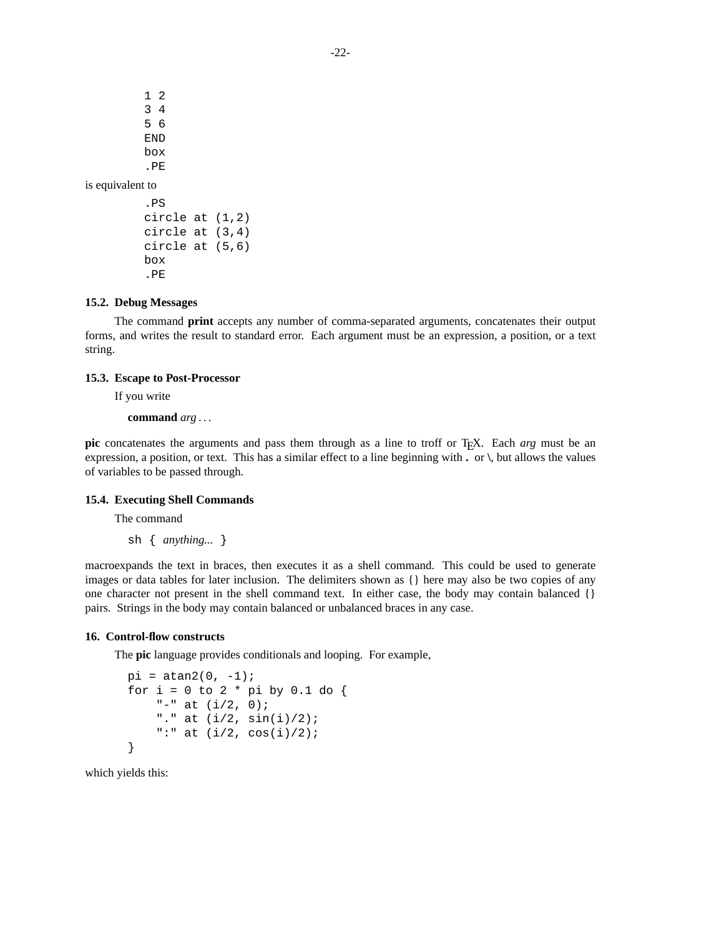1 2 3 4 5 6 END box .PE is equivalent to .PS

```
circle at (1,2)
circle at (3,4)
circle at (5,6)
box
.PE
```
## **15.2. Debug Messages**

The command **print** accepts any number of comma-separated arguments, concatenates their output forms, and writes the result to standard error. Each argument must be an expression, a position, or a text string.

### **15.3. Escape to Post-Processor**

If you write

**command** *arg* ...

**pic** concatenates the arguments and pass them through as a line to troff or TEX. Each *arg* must be an expression, a position, or text. This has a similar effect to a line beginning with **.** or **\**, but allows the values of variables to be passed through.

## **15.4. Executing Shell Commands**

The command

sh { *anything...* }

macroexpands the text in braces, then executes it as a shell command. This could be used to generate images or data tables for later inclusion. The delimiters shown as {} here may also be two copies of any one character not present in the shell command text. In either case, the body may contain balanced {} pairs. Strings in the body may contain balanced or unbalanced braces in any case.

#### **16. Control-flow constructs**

The **pic** language provides conditionals and looping. For example,

```
pi = \tan 2(0, -1);for i = 0 to 2 * pi by 0.1 do {
    "-" at (i/2, 0);"." at (i/2, \sin(i)/2);
    ":" at (i/2, cos(i)/2);
}
```
which yields this: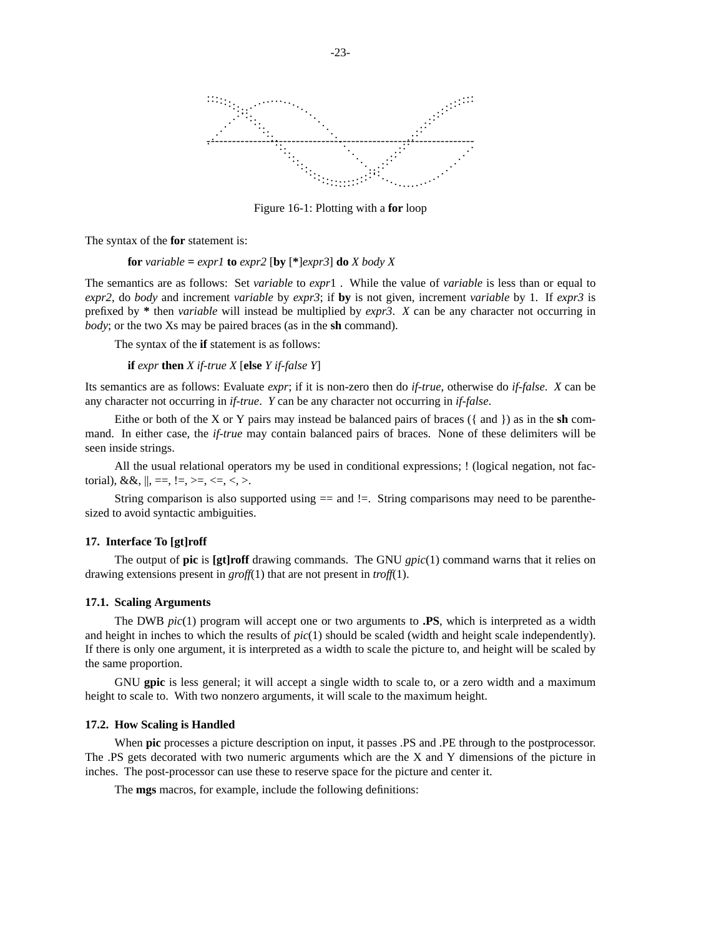

Figure 16-1: Plotting with a **for** loop

The syntax of the **for** statement is:

**for** *variable* =  $expr1$  **to**  $expr2$  [**by** [ $*$ ] $expr3$ ] **do** *X body X* 

The semantics are as follows: Set *variable* to *expr*1. While the value of *variable* is less than or equal to *expr2*, do *body* and increment *variable* by *expr3*; if **by** is not given, increment *variable* by 1. If *expr3* is prefixed by **\*** then *variable* will instead be multiplied by *expr3*. *X* can be any character not occurring in *body*; or the two Xs may be paired braces (as in the **sh** command).

The syntax of the **if** statement is as follows:

**if** *expr* **then** *X if-true X* [**else** *Y if-false Y*]

Its semantics are as follows: Evaluate *expr*; if it is non-zero then do *if-true*, otherwise do *if-false*. *X* can be any character not occurring in *if-true*. *Y* can be any character not occurring in *if-false*.

Eithe or both of the X or Y pairs may instead be balanced pairs of braces ({ and }) as in the **sh** command. In either case, the *if-true* may contain balanced pairs of braces. None of these delimiters will be seen inside strings.

All the usual relational operators my be used in conditional expressions; ! (logical negation, not factorial),  $\&&\&&\,, \, \parallel, \, ==, \, !=, \, >=, \, <=, \, <, \, >$ .

String comparison is also supported using  $==$  and  $!=$ . String comparisons may need to be parenthesized to avoid syntactic ambiguities.

#### **17. Interface To [gt]roff**

The output of **pic** is **[gt]roff** drawing commands. The GNU *gpic*(1) command warns that it relies on drawing extensions present in *groff*(1) that are not present in *troff*(1).

#### **17.1. Scaling Arguments**

The DWB *pic*(1) program will accept one or two arguments to **.PS**, which is interpreted as a width and height in inches to which the results of *pic*(1) should be scaled (width and height scale independently). If there is only one argument, it is interpreted as a width to scale the picture to, and height will be scaled by the same proportion.

GNU **gpic** is less general; it will accept a single width to scale to, or a zero width and a maximum height to scale to. With two nonzero arguments, it will scale to the maximum height.

#### **17.2. How Scaling is Handled**

When **pic** processes a picture description on input, it passes .PS and .PE through to the postprocessor. The .PS gets decorated with two numeric arguments which are the X and Y dimensions of the picture in inches. The post-processor can use these to reserve space for the picture and center it.

The **mgs** macros, for example, include the following definitions: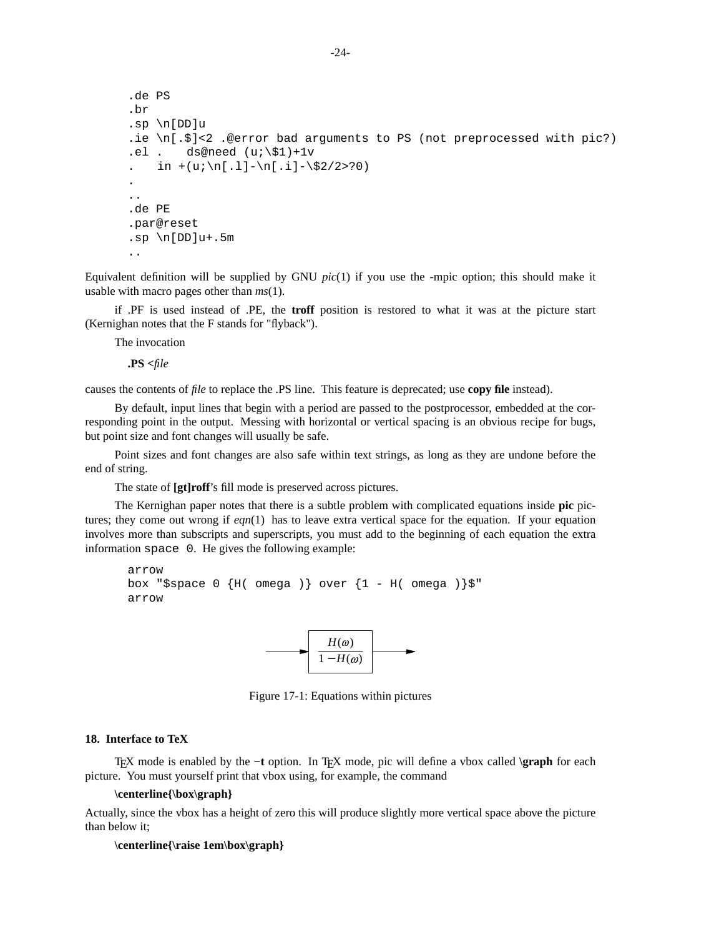```
.de PS
.br
.sp \n[DD]u
.ie \n\{n[.5] < 2 . @error bad arguments to PS (not preprocessed with pic?)
.el . ds@need (u;\xi_1)+1vin +(u;\n[.1] - \n[.i] - \n$2/2>?0).
..
.de PE
.par@reset
.sp \n{\n  <i>l</i> DD}u+.5m
..
```
Equivalent definition will be supplied by GNU *pic*(1) if you use the -mpic option; this should make it usable with macro pages other than *ms*(1).

if .PF is used instead of .PE, the **troff** position is restored to what it was at the picture start (Kernighan notes that the F stands for "flyback").

The invocation

**.PS <***file*

causes the contents of *file* to replace the .PS line. This feature is deprecated; use **copy file** instead).

By default, input lines that begin with a period are passed to the postprocessor, embedded at the corresponding point in the output. Messing with horizontal or vertical spacing is an obvious recipe for bugs, but point size and font changes will usually be safe.

Point sizes and font changes are also safe within text strings, as long as they are undone before the end of string.

The state of **[gt]roff**'s fill mode is preserved across pictures.

The Kernighan paper notes that there is a subtle problem with complicated equations inside **pic** pictures; they come out wrong if *eqn*(1) has to leave extra vertical space for the equation. If your equation involves more than subscripts and superscripts, you must add to the beginning of each equation the extra information space 0. He gives the following example:

```
arrow
box "$space 0 \{H(\text{omega})\} over \{1 - H(\text{omega})\}"
arrow
```


Figure 17-1: Equations within pictures

#### **18. Interface to TeX**

T<sub>EX</sub> mode is enabled by the -t option. In T<sub>EX</sub> mode, pic will define a vbox called **\graph** for each picture. You must yourself print that vbox using, for example, the command

### **\centerline{\box\graph}**

Actually, since the vbox has a height of zero this will produce slightly more vertical space above the picture than below it;

## **\centerline{\raise 1em\box\graph}**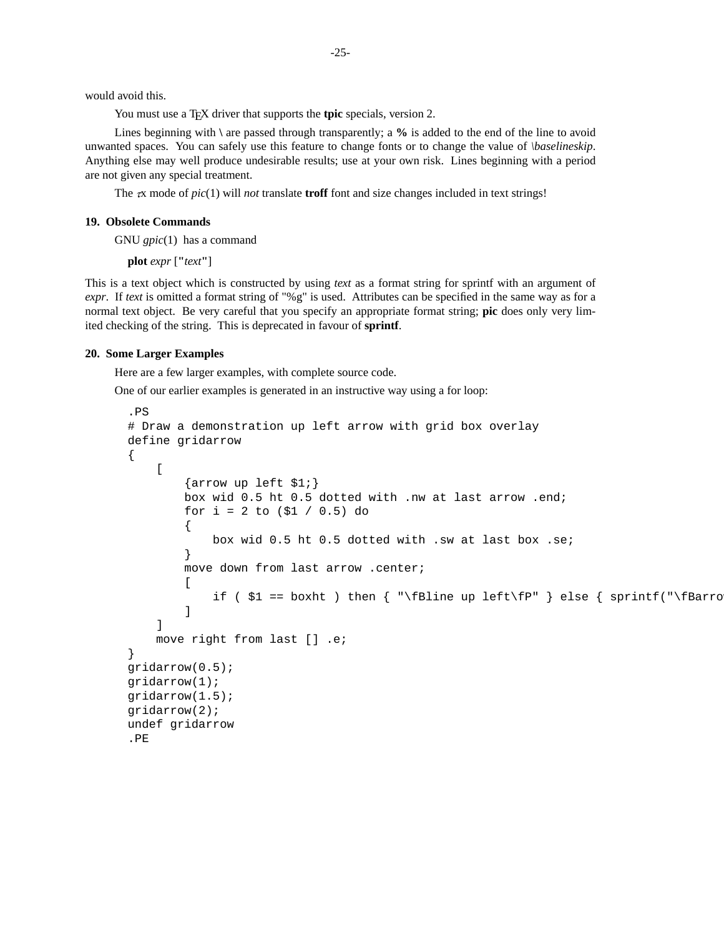would avoid this.

You must use a T<sub>E</sub>X driver that supports the **tpic** specials, version 2.

Lines beginning with **\** are passed through transparently; a **%** is added to the end of the line to avoid unwanted spaces. You can safely use this feature to change fonts or to change the value of *\baselineskip*. Anything else may well produce undesirable results; use at your own risk. Lines beginning with a period are not given any special treatment.

The  $\pi$  mode of  $pic(1)$  will *not* translate **troff** font and size changes included in text strings!

### **19. Obsolete Commands**

GNU *gpic*(1) has a command

**plot** *expr* [**"***text***"**]

This is a text object which is constructed by using *text* as a format string for sprintf with an argument of *expr*. If *text* is omitted a format string of "%g" is used. Attributes can be specified in the same way as for a normal text object. Be very careful that you specify an appropriate format string; **pic** does only very limited checking of the string. This is deprecated in favour of **sprintf**.

#### **20. Some Larger Examples**

Here are a few larger examples, with complete source code.

One of our earlier examples is generated in an instructive way using a for loop:

```
.PS
# Draw a demonstration up left arrow with grid box overlay
define gridarrow
{
    \Gamma\{arrow \{box wid 0.5 ht 0.5 dotted with .nw at last arrow .end;
        for i = 2 to (51 / 0.5) do
        {
            box wid 0.5 ht 0.5 dotted with .sw at last box .se;
        }
        move down from last arrow .center;
        \Gammaif ( $1 = boxht ) then { "\fBline up left\fP" } else { sprintf("\fBarro
        ]
    ]
    move right from last [] .e;
}
gridarrow(0.5);
gridarrow(1);
gridarrow(1.5);
gridarrow(2);
undef gridarrow
.PE
```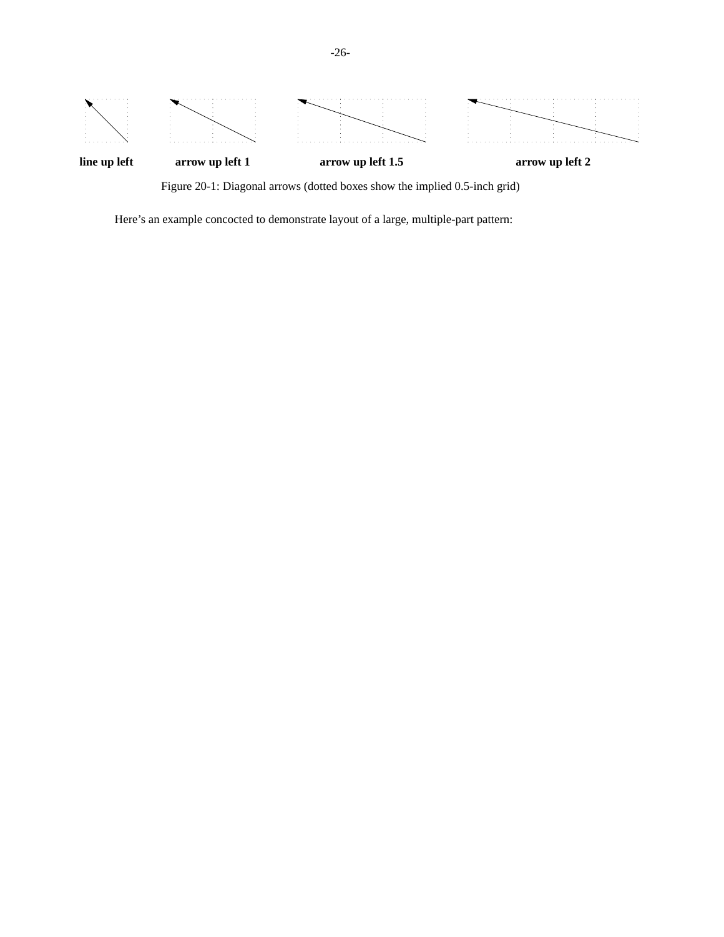

Figure 20-1: Diagonal arrows (dotted boxes show the implied 0.5-inch grid)

Here's an example concocted to demonstrate layout of a large, multiple-part pattern: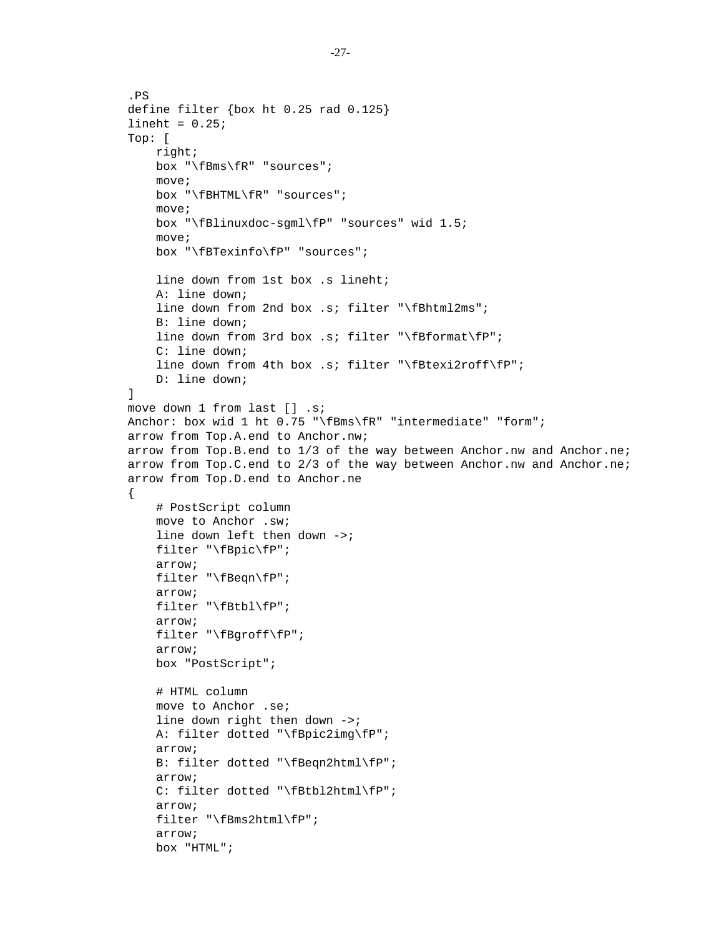```
.PS
define filter {box ht 0.25 rad 0.125}
lineht = 0.25;Top: [
    right;
    box "\fBms\fR" "sources";
    move;
    box "\fBHTML\fR" "sources";
    move;
    box "\fBlinuxdoc-sgml\fP" "sources" wid 1.5;
    move;
    box "\fBTexinfo\fP" "sources";
    line down from 1st box .s lineht;
    A: line down;
    line down from 2nd box .s; filter "\fBhtml2ms";
    B: line down;
    line down from 3rd box .s; filter "\fBformat\fP";
    C: line down;
    line down from 4th box .s; filter "\fBtexi2roff\fP";
    D: line down;
]
move down 1 from last [] .s;
Anchor: box wid 1 ht 0.75 "\fBms\fR" "intermediate" "form";
arrow from Top.A.end to Anchor.nw;
arrow from Top.B.end to 1/3 of the way between Anchor.nw and Anchor.ne;
arrow from Top.C.end to 2/3 of the way between Anchor.nw and Anchor.ne;
arrow from Top.D.end to Anchor.ne
{
    # PostScript column
    move to Anchor .sw;
    line down left then down ->;
    filter "\fBpic\fP";
    arrow;
    filter "\fBeqn\fP";
    arrow;
    filter "\fBtbl\fP";
    arrow;
    filter "\fBgroff\fP";
    arrow;
    box "PostScript";
    # HTML column
    move to Anchor .se;
    line down right then down ->;
    A: filter dotted "\fBpic2img\fP";
    arrow;
    B: filter dotted "\fBeqn2html\fP";
    arrow;
    C: filter dotted "\fBtbl2html\fP";
    arrow;
    filter "\fBms2html\fP";
    arrow;
    box "HTML";
```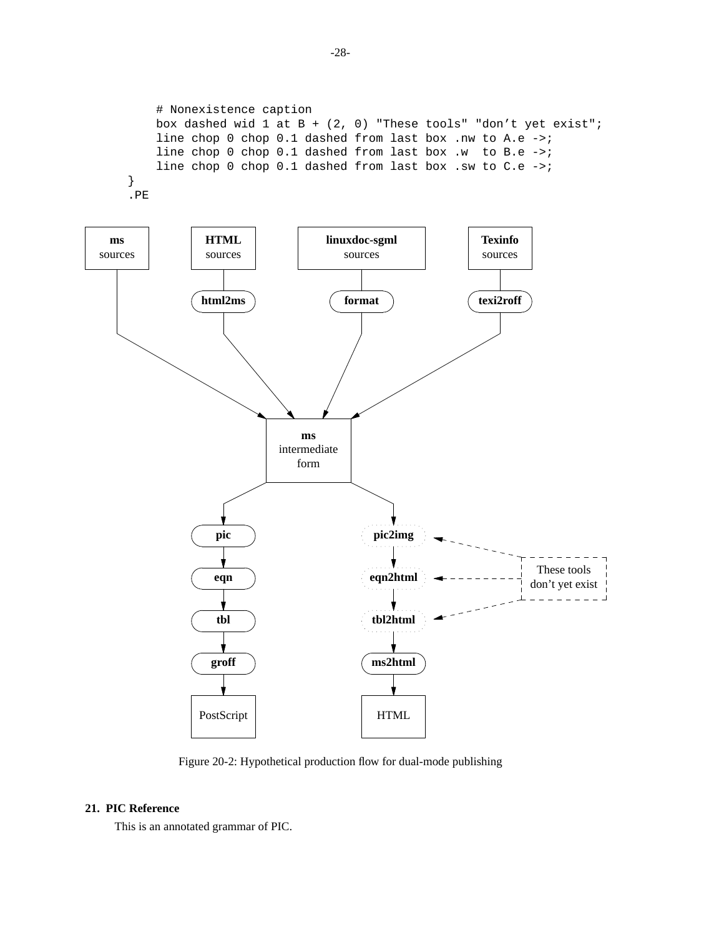```
# Nonexistence caption
   box dashed wid 1 at B + (2, 0) "These tools" "don't yet exist";
   line chop 0 chop 0.1 dashed from last box .nw to A.e ->;
   line chop 0 chop 0.1 dashed from last box .w to B.e ->;
   line chop 0 chop 0.1 dashed from last box .sw to C.e ->;
}
.PE
```


Figure 20-2: Hypothetical production flow for dual-mode publishing

# **21. PIC Reference**

This is an annotated grammar of PIC.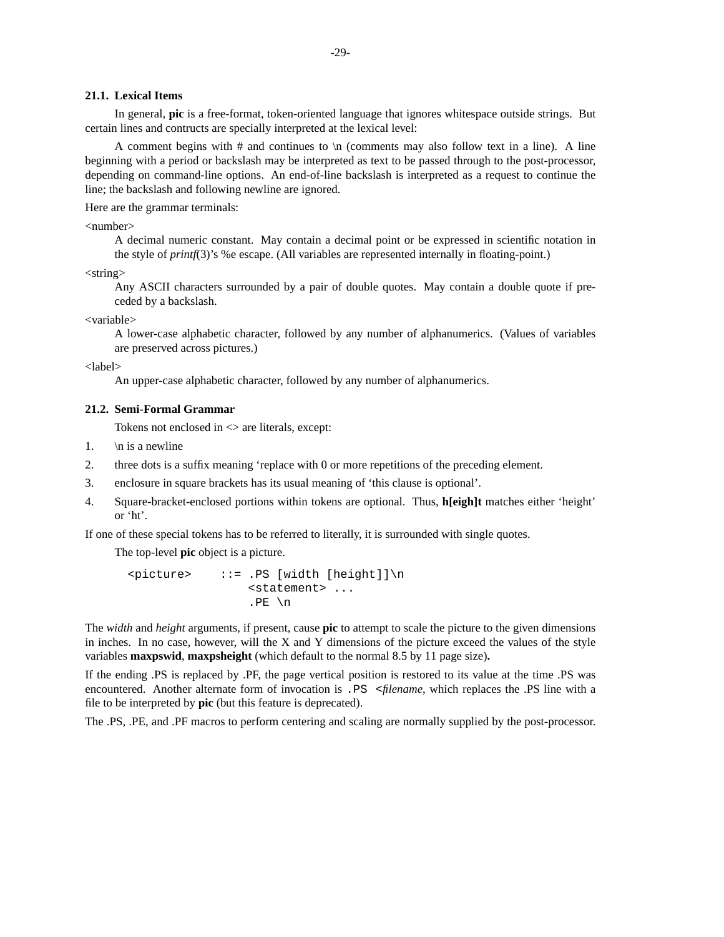### **21.1. Lexical Items**

In general, **pic** is a free-format, token-oriented language that ignores whitespace outside strings. But certain lines and contructs are specially interpreted at the lexical level:

A comment begins with  $#$  and continues to  $\infty$  (comments may also follow text in a line). A line beginning with a period or backslash may be interpreted as text to be passed through to the post-processor, depending on command-line options. An end-of-line backslash is interpreted as a request to continue the line; the backslash and following newline are ignored.

Here are the grammar terminals:

<number>

A decimal numeric constant. May contain a decimal point or be expressed in scientific notation in the style of *printf*(3)'s %e escape. (All variables are represented internally in floating-point.)

<string>

Any ASCII characters surrounded by a pair of double quotes. May contain a double quote if preceded by a backslash.

<variable>

A lower-case alphabetic character, followed by any number of alphanumerics. (Values of variables are preserved across pictures.)

<label>

An upper-case alphabetic character, followed by any number of alphanumerics.

## **21.2. Semi-Formal Grammar**

Tokens not enclosed in  $\leq$  are literals, except:

- 1.  $\ln$  is a newline
- 2. three dots is a suffix meaning 'replace with 0 or more repetitions of the preceding element.
- 3. enclosure in square brackets has its usual meaning of 'this clause is optional'.
- 4. Square-bracket-enclosed portions within tokens are optional. Thus, **h[eigh]t** matches either 'height' or 'ht'.

If one of these special tokens has to be referred to literally, it is surrounded with single quotes.

The top-level **pic** object is a picture.

```
<picture> ::= .PS [width [height]]\n
                <statement> ...
                .PE \n
```
The *width* and *height* arguments, if present, cause **pic** to attempt to scale the picture to the given dimensions in inches. In no case, however, will the X and Y dimensions of the picture exceed the values of the style variables **maxpswid**, **maxpsheight** (which default to the normal 8.5 by 11 page size)**.**

If the ending .PS is replaced by .PF, the page vertical position is restored to its value at the time .PS was encountered. Another alternate form of invocation is .PS <*filename*, which replaces the .PS line with a file to be interpreted by **pic** (but this feature is deprecated).

The .PS, .PE, and .PF macros to perform centering and scaling are normally supplied by the post-processor.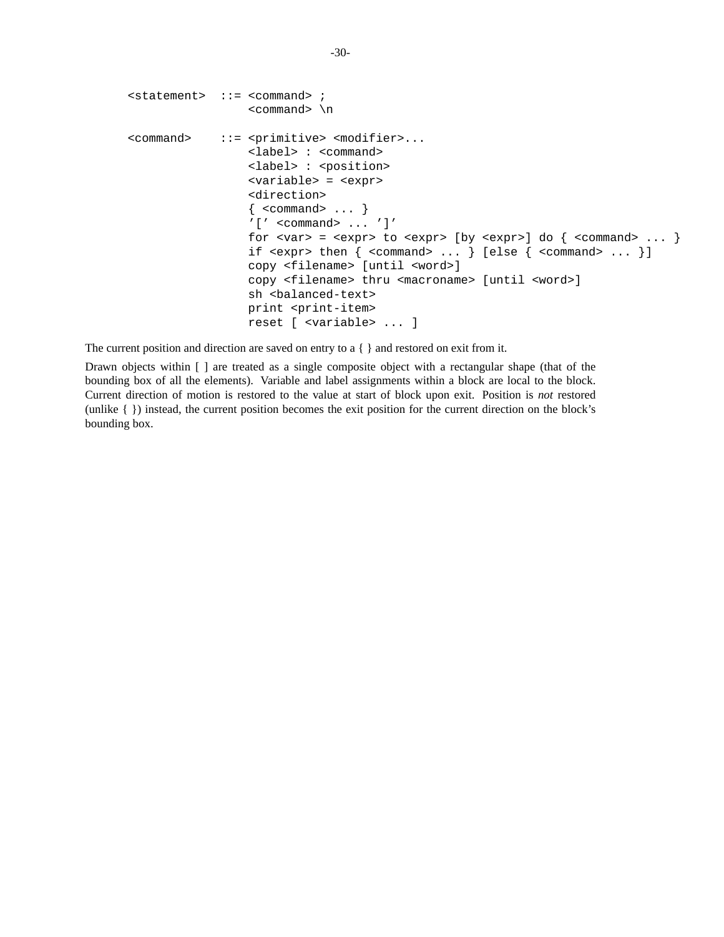```
<statement> ::= <command> ;
                        <command> \n
<command> ::= <primitive> <modifier>...
                        <label> : <command>
                        <label> : <position>
                        <variable> = <expr>
                        <direction>
                        \{ < command > ... \}'[ '  < commant{command} > ... ' ]'for \langle \text{var} \rangle = \langle \text{expr} \rangle to \langle \text{expr} \rangle [by \langle \text{expr} \rangle] do \langle \text{command} \rangle ... ]
                        if \langle \text{expr} \rangle then \{ \langle \text{command} \rangle \dots \} [else \{ \langle \text{command} \rangle \dots \}]
                        copy <filename> [until <word>]
                        copy <filename> thru <macroname> [until <word>]
                        sh <balanced-text>
                        print <print-item>
                        reset [ <variable> ... ]
```
The current position and direction are saved on entry to a { } and restored on exit from it.

Drawn objects within [ ] are treated as a single composite object with a rectangular shape (that of the bounding box of all the elements). Variable and label assignments within a block are local to the block. Current direction of motion is restored to the value at start of block upon exit. Position is *not* restored (unlike{}) instead, the current position becomes the exit position for the current direction on the block's bounding box.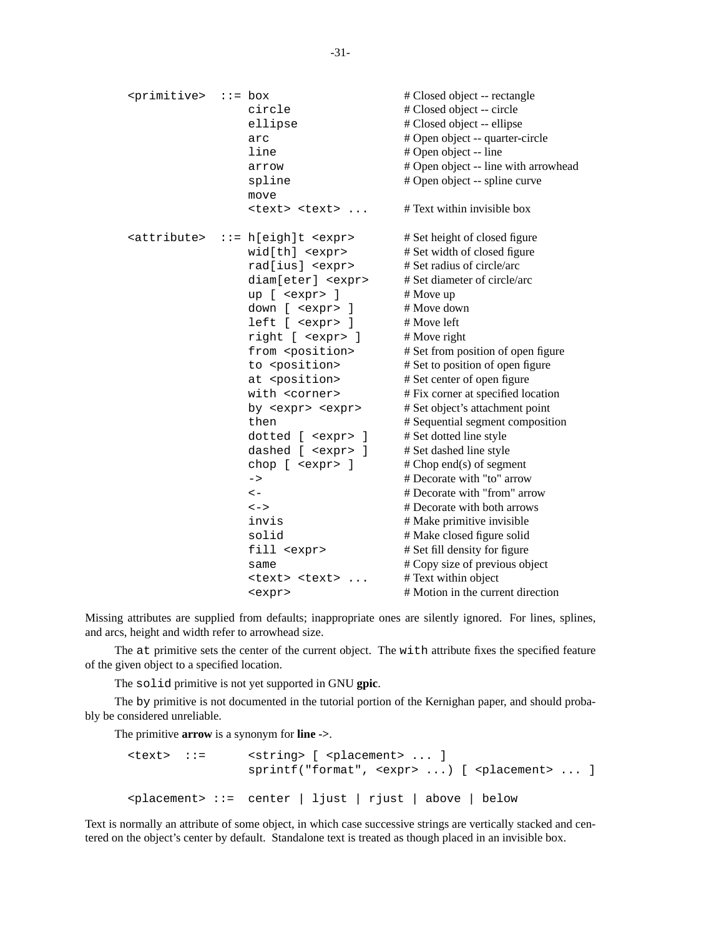<primitive> ::= box # Closed object -- rectangle circle # Closed object -- circle ellipse # Closed object -- ellipse arc # Open object -- quarter-circle line # Open object -- line arrow # Open object -- line with arrowhead spline # Open object -- spline curve move <text> <text> ... # Text within invisible box  $\text{satribute} > : := h[\text{eight}]t \leq \text{expr} > \text{#}$  # Set height of closed figure wid[th] <expr> # Set width of closed figure rad[ius] <expr> # Set radius of circle/arc diam[eter] <expr> # Set diameter of circle/arc up [ <expr> ] # Move up down [ <expr> ] # Move down left [ <expr> ] # Move left right [ <expr> ] # Move right from <position> # Set from position of open figure to <position> # Set to position of open figure at <position> # Set center of open figure with <corner> # Fix corner at specified location by <expr> <expr> # Set object's attachment point then # Sequential segment composition dotted [ <expr> ] # Set dotted line style dashed [ <expr> ] # Set dashed line style chop  $[$  <expr>  $]$  # Chop end(s) of segment -> # Decorate with "to" arrow <- # Decorate with "from" arrow <-> # Decorate with both arrows invis # Make primitive invisible solid # Make closed figure solid fill  $\langle$  expr> # Set fill density for figure same # Copy size of previous object <text> <text> ... # Text within object <expr> # Motion in the current direction

Missing attributes are supplied from defaults; inappropriate ones are silently ignored. For lines, splines, and arcs, height and width refer to arrowhead size.

The at primitive sets the center of the current object. The with attribute fixes the specified feature of the given object to a specified location.

The solid primitive is not yet supported in GNU **gpic**.

The by primitive is not documented in the tutorial portion of the Kernighan paper, and should probably be considered unreliable.

The primitive **arrow** is a synonym for **line ->**.

| <text> ::=</text> | $\left\{ \text{string} \right\}$ [ $\left\{ \text{plancent} \right\}$ ] |
|-------------------|-------------------------------------------------------------------------|
|                   | $\langle$ placement> ::= center   ljust   rjust   above   below         |

Text is normally an attribute of some object, in which case successive strings are vertically stacked and centered on the object's center by default. Standalone text is treated as though placed in an invisible box.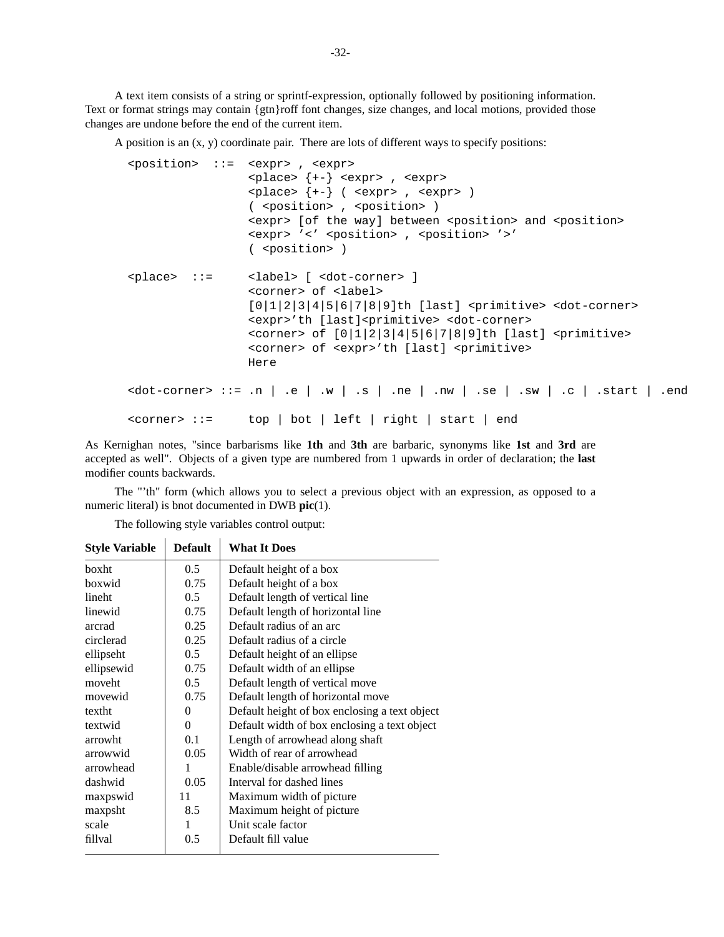A text item consists of a string or sprintf-expression, optionally followed by positioning information. Text or format strings may contain {gtn}roff font changes, size changes, and local motions, provided those changes are undone before the end of the current item.

A position is an (x, y) coordinate pair. There are lots of different ways to specify positions:

```
<position> ::= <expr> , <expr>
                          <place> {+-} <expr> , <expr>
                          \langle = \langle + \rangle ( \langle \rangle \langle \rangle \langle \rangle \langle \rangle \langle \rangle \langle \rangle \langle \rangle \langle \rangle \langle \rangle \langle \rangle \langle \rangle \langle \rangle \langle \rangle \langle \rangle \langle \rangle \langle \rangle \langle \rangle \langle \rangle \langle \rangle \langle \rangle 
                          ( <position> , <position> )
                          <expr> [of the way] between <position> and <position>
                          <expr> '<' <position> , <position> '>'
                          ( <position> )
<place> ::= <label> [ <dot-corner> ]
                          <corner> of <label>
                          [0|1|2|3|4|5|6|7|8|9]th [last] <primitive> <dot-corner>
                          <expr>'th [last]<primitive> <dot-corner>
                          \langle <corner> of [0|1|2|3|4|5|6|7|8|9]th [last] \langleprimitive>
                          <corner> of <expr>'th [last] <primitive>
                          Here
\verb|color=core>| ::= n | .e | .w | .s | .ne | .nw | .se | .sw | .c | .start | .end<corner> ::= top | bot | left | right | start | end
```
As Kernighan notes, "since barbarisms like **1th** and **3th** are barbaric, synonyms like **1st** and **3rd** are accepted as well". Objects of a given type are numbered from 1 upwards in order of declaration; the **last** modifier counts backwards.

The "'th" form (which allows you to select a previous object with an expression, as opposed to a numeric literal) is bnot documented in DWB **pic**(1).

The following style variables control output:  $\mathbf{r}$ 

 $\mathbf{r}$ 

| <b>Style Variable</b> | <b>Default</b> | <b>What It Does</b>                           |
|-----------------------|----------------|-----------------------------------------------|
| boxht                 | 0.5            | Default height of a box                       |
| boxwid                | 0.75           | Default height of a box                       |
| lineht                | $0.5^{\circ}$  | Default length of vertical line               |
| linewid               | 0.75           | Default length of horizontal line             |
| arcrad                | 0.25           | Default radius of an arc                      |
| circlerad             | 0.25           | Default radius of a circle                    |
| ellipseht             | 0.5            | Default height of an ellipse                  |
| ellipsewid            | 0.75           | Default width of an ellipse                   |
| moveht                | 0.5            | Default length of vertical move               |
| movewid               | 0.75           | Default length of horizontal move             |
| textht                | 0              | Default height of box enclosing a text object |
| textwid               | 0              | Default width of box enclosing a text object  |
| arrowht               | 0.1            | Length of arrowhead along shaft               |
| arrowwid              | 0.05           | Width of rear of arrowhead                    |
| arrowhead             | 1              | Enable/disable arrowhead filling              |
| dashwid               | 0.05           | Interval for dashed lines                     |
| maxpswid              | 11             | Maximum width of picture                      |
| maxpsht               | 8.5            | Maximum height of picture                     |
| scale                 | 1              | Unit scale factor                             |
| fillval               | 0.5            | Default fill value                            |
|                       |                |                                               |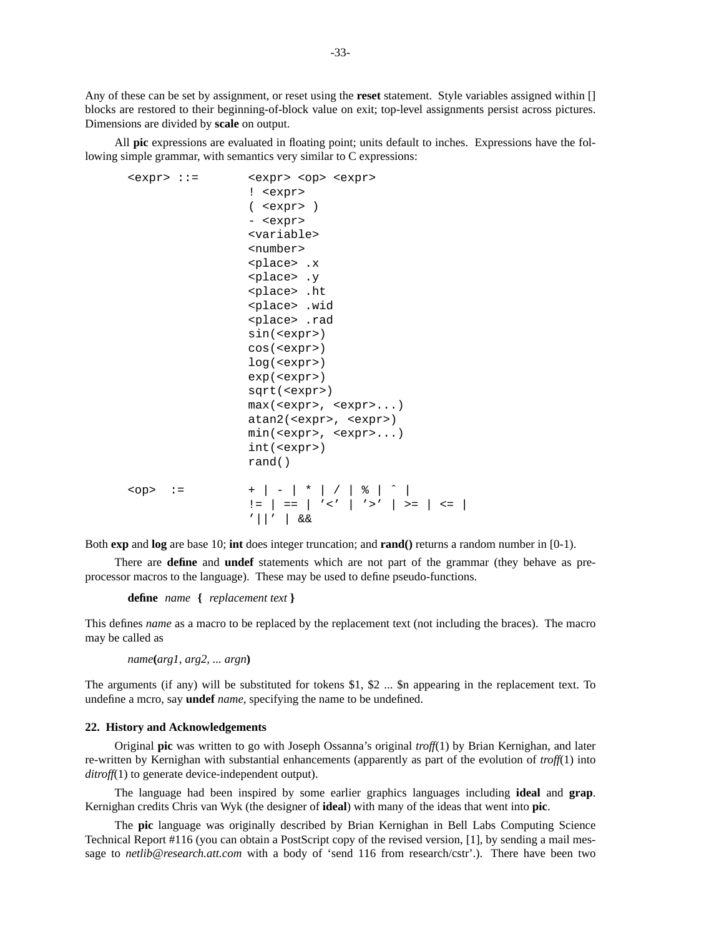Any of these can be set by assignment, or reset using the **reset** statement. Style variables assigned within [] blocks are restored to their beginning-of-block value on exit; top-level assignments persist across pictures. Dimensions are divided by **scale** on output.

All **pic** expressions are evaluated in floating point; units default to inches. Expressions have the following simple grammar, with semantics very similar to C expressions:

```
<expr> ::= <expr> <op> <expr>
                ! <expr>
                ( <expr> )
                - <expr>
                <variable>
                <number>
                <place> .x
                <place> .y
                <place> .ht
                <place> .wid
                <place> .rad
                sin(<expr>)
                cos(<expr>)
                log(<expr>)
                exp(<expr>)
                sqrt(<expr>)
                max(<expr>, <expr>...)
                atan2(<expr>, <expr>)
                min(<expr>, <expr>...)
                int(<expr>)
                rand()
<op> := +|-|*|/|%|ˆ|
                != | == | '<' | '>' | >= | <= |
                '||' | &&
```
Both **exp** and **log** are base 10; **int** does integer truncation; and **rand()** returns a random number in [0-1).

There are **define** and **undef** statements which are not part of the grammar (they behave as preprocessor macros to the language). These may be used to define pseudo-functions.

```
define name { replacement text }
```
This defines *name* as a macro to be replaced by the replacement text (not including the braces). The macro may be called as

*name***(***arg1, arg2, ... argn***)**

The arguments (if any) will be substituted for tokens \$1, \$2 ... \$n appearing in the replacement text. To undefine a mcro, say **undef** *name*, specifying the name to be undefined.

### **22. History and Acknowledgements**

Original **pic** was written to go with Joseph Ossanna's original *troff*(1) by Brian Kernighan, and later re-written by Kernighan with substantial enhancements (apparently as part of the evolution of *troff*(1) into *ditroff*(1) to generate device-independent output).

The language had been inspired by some earlier graphics languages including **ideal** and **grap**. Kernighan credits Chris van Wyk (the designer of **ideal**) with many of the ideas that went into **pic**.

The **pic** language was originally described by Brian Kernighan in Bell Labs Computing Science Technical Report #116 (you can obtain a PostScript copy of the revised version, [1], by sending a mail message to *netlib@research.att.com* with a body of 'send 116 from research/cstr'.). There have been two